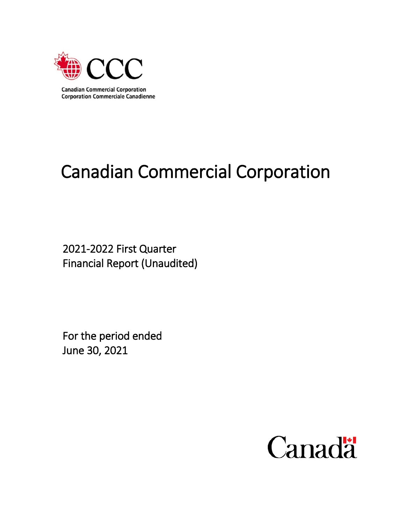

# Canadian Commercial Corporation

2021-2022 First Quarter Financial Report (Unaudited)

For the period ended June 30, 2021

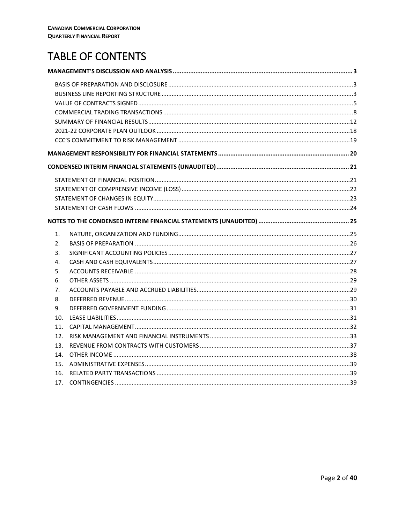# **TABLE OF CONTENTS**

| 1.              |  |
|-----------------|--|
| 2.              |  |
| 3.              |  |
| 4.              |  |
| 5.              |  |
| 6.              |  |
| 7.              |  |
| 8.              |  |
| 9.              |  |
| 10 <sub>1</sub> |  |
| 11.             |  |
| 12.             |  |
| 13.             |  |
| 14.             |  |
| 15.             |  |
| 16.             |  |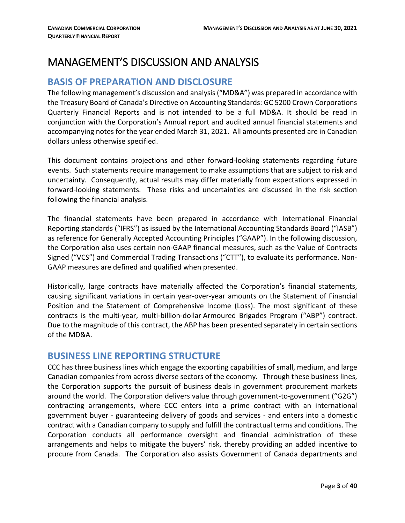# <span id="page-2-0"></span>MANAGEMENT'S DISCUSSION AND ANALYSIS

# <span id="page-2-1"></span>**BASIS OF PREPARATION AND DISCLOSURE**

The following management's discussion and analysis ("MD&A") was prepared in accordance with the Treasury Board of Canada's Directive on Accounting Standards: GC 5200 Crown Corporations Quarterly Financial Reports and is not intended to be a full MD&A. It should be read in conjunction with the Corporation's Annual report and audited annual financial statements and accompanying notes for the year ended March 31, 2021. All amounts presented are in Canadian dollars unless otherwise specified.

This document contains projections and other forward-looking statements regarding future events. Such statements require management to make assumptions that are subject to risk and uncertainty. Consequently, actual results may differ materially from expectations expressed in forward-looking statements. These risks and uncertainties are discussed in the risk section following the financial analysis.

The financial statements have been prepared in accordance with International Financial Reporting standards ("IFRS") as issued by the International Accounting Standards Board ("IASB") as reference for Generally Accepted Accounting Principles ("GAAP"). In the following discussion, the Corporation also uses certain non-GAAP financial measures, such as the Value of Contracts Signed ("VCS") and Commercial Trading Transactions ("CTT"), to evaluate its performance. Non-GAAP measures are defined and qualified when presented.

Historically, large contracts have materially affected the Corporation's financial statements, causing significant variations in certain year-over-year amounts on the Statement of Financial Position and the Statement of Comprehensive Income (Loss). The most significant of these contracts is the multi-year, multi-billion-dollar Armoured Brigades Program ("ABP") contract. Due to the magnitude of this contract, the ABP has been presented separately in certain sections of the MD&A.

# <span id="page-2-2"></span>**BUSINESS LINE REPORTING STRUCTURE**

CCC has three business lines which engage the exporting capabilities of small, medium, and large Canadian companies from across diverse sectors of the economy. Through these business lines, the Corporation supports the pursuit of business deals in government procurement markets around the world. The Corporation delivers value through government-to-government ("G2G") contracting arrangements, where CCC enters into a prime contract with an international government buyer - guaranteeing delivery of goods and services - and enters into a domestic contract with a Canadian company to supply and fulfill the contractual terms and conditions. The Corporation conducts all performance oversight and financial administration of these arrangements and helps to mitigate the buyers' risk, thereby providing an added incentive to procure from Canada. The Corporation also assists Government of Canada departments and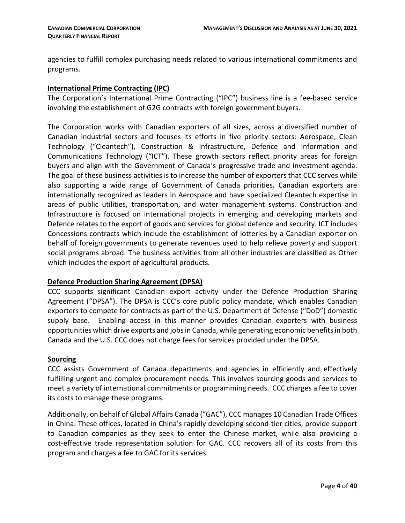agencies to fulfill complex purchasing needs related to various international commitments and programs.

#### **International Prime Contracting (IPC)**

The Corporation's International Prime Contracting ("IPC") business line is a fee-based service involving the establishment of G2G contracts with foreign government buyers.

The Corporation works with Canadian exporters of all sizes, across a diversified number of Canadian industrial sectors and focuses its efforts in five priority sectors: Aerospace, Clean Technology ("Cleantech"), Construction & Infrastructure, Defence and Information and Communications Technology ("ICT"). These growth sectors reflect priority areas for foreign buyers and align with the Government of Canada's progressive trade and investment agenda. The goal of these business activities is to increase the number of exporters that CCC serves while also supporting a wide range of Government of Canada priorities**.** Canadian exporters are internationally recognized as leaders in Aerospace and have specialized Cleantech expertise in areas of public utilities, transportation, and water management systems. Construction and Infrastructure is focused on international projects in emerging and developing markets and Defence relates to the export of goods and services for global defence and security. ICT includes Concessions contracts which include the establishment of lotteries by a Canadian exporter on behalf of foreign governments to generate revenues used to help relieve poverty and support social programs abroad. The business activities from all other industries are classified as Other which includes the export of agricultural products.

#### **Defence Production Sharing Agreement (DPSA)**

CCC supports significant Canadian export activity under the Defence Production Sharing Agreement ("DPSA"). The DPSA is CCC's core public policy mandate, which enables Canadian exporters to compete for contracts as part of the U.S. Department of Defense ("DoD") domestic supply base. Enabling access in this manner provides Canadian exporters with business opportunities which drive exports and jobs in Canada, while generating economic benefitsin both Canada and the U.S. CCC does not charge fees for services provided under the DPSA.

#### **Sourcing**

CCC assists Government of Canada departments and agencies in efficiently and effectively fulfilling urgent and complex procurement needs. This involves sourcing goods and services to meet a variety of international commitments or programming needs. CCC charges a fee to cover its costs to manage these programs.

Additionally, on behalf of Global Affairs Canada ("GAC"), CCC manages 10 Canadian Trade Offices in China. These offices, located in China's rapidly developing second-tier cities, provide support to Canadian companies as they seek to enter the Chinese market, while also providing a cost-effective trade representation solution for GAC. CCC recovers all of its costs from this program and charges a fee to GAC for its services.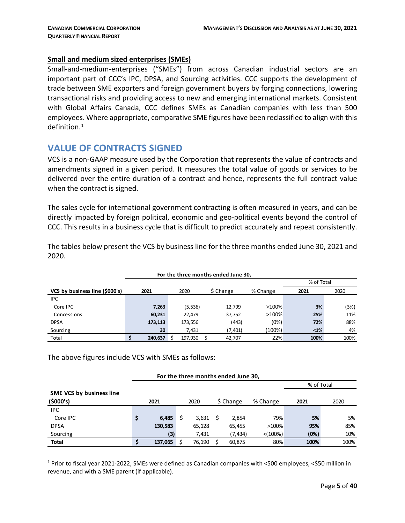#### **Small and medium sized enterprises (SMEs)**

Small-and-medium-enterprises ("SMEs") from across Canadian industrial sectors are an important part of CCC's IPC, DPSA, and Sourcing activities. CCC supports the development of trade between SME exporters and foreign government buyers by forging connections, lowering transactional risks and providing access to new and emerging international markets. Consistent with Global Affairs Canada, CCC defines SMEs as Canadian companies with less than 500 employees. Where appropriate, comparative SME figures have been reclassified to align with this definition. $1$ 

# <span id="page-4-0"></span>**VALUE OF CONTRACTS SIGNED**

VCS is a non-GAAP measure used by the Corporation that represents the value of contracts and amendments signed in a given period. It measures the total value of goods or services to be delivered over the entire duration of a contract and hence, represents the full contract value when the contract is signed.

The sales cycle for international government contracting is often measured in years, and can be directly impacted by foreign political, economic and geo-political events beyond the control of CCC. This results in a business cycle that is difficult to predict accurately and repeat consistently.

| For the three months ended June 30, |         |            |           |          |         |      |  |  |  |  |  |  |  |  |
|-------------------------------------|---------|------------|-----------|----------|---------|------|--|--|--|--|--|--|--|--|
|                                     |         | % of Total |           |          |         |      |  |  |  |  |  |  |  |  |
| VCS by business line (\$000's)      | 2021    | 2020       | \$ Change | % Change | 2021    | 2020 |  |  |  |  |  |  |  |  |
| <b>IPC</b>                          |         |            |           |          |         |      |  |  |  |  |  |  |  |  |
| Core IPC                            | 7,263   | (5,536)    | 12,799    | >100%    | 3%      | (3%) |  |  |  |  |  |  |  |  |
| Concessions                         | 60,231  | 22.479     | 37,752    | >100%    | 25%     | 11%  |  |  |  |  |  |  |  |  |
| <b>DPSA</b>                         | 173,113 | 173,556    | (443)     | (0%)     | 72%     | 88%  |  |  |  |  |  |  |  |  |
| Sourcing                            | 30      | 7.431      | (7,401)   | (100%)   | $< 1\%$ | 4%   |  |  |  |  |  |  |  |  |
| Total                               | 240,637 | 197.930    | 42.707    | 22%      | 100%    | 100% |  |  |  |  |  |  |  |  |

The tables below present the VCS by business line for the three months ended June 30, 2021 and 2020.

The above figures include VCS with SMEs as follows:

| For the three months ended June 30, |    |         |    |        |  |            |             |      |      |  |  |  |  |  |
|-------------------------------------|----|---------|----|--------|--|------------|-------------|------|------|--|--|--|--|--|
|                                     |    |         |    |        |  | % of Total |             |      |      |  |  |  |  |  |
| <b>SME VCS by business line</b>     |    |         |    |        |  |            |             |      |      |  |  |  |  |  |
| (\$000's)                           |    | 2021    |    | 2020   |  | \$ Change  | % Change    | 2021 | 2020 |  |  |  |  |  |
| <b>IPC</b>                          |    |         |    |        |  |            |             |      |      |  |  |  |  |  |
| Core IPC                            | \$ | 6,485   | \$ | 3,631  |  | 2,854      | 79%         | 5%   | 5%   |  |  |  |  |  |
| <b>DPSA</b>                         |    | 130,583 |    | 65,128 |  | 65,455     | $>100\%$    | 95%  | 85%  |  |  |  |  |  |
| Sourcing                            |    | (3)     |    | 7,431  |  | (7,434)    | $< (100\%)$ | (0%) | 10%  |  |  |  |  |  |
| <b>Total</b>                        |    | 137,065 |    | 76,190 |  | 60,875     | 80%         | 100% | 100% |  |  |  |  |  |

<span id="page-4-1"></span> 1 Prior to fiscal year 2021-2022, SMEs were defined as Canadian companies with <500 employees, <\$50 million in revenue, and with a SME parent (if applicable).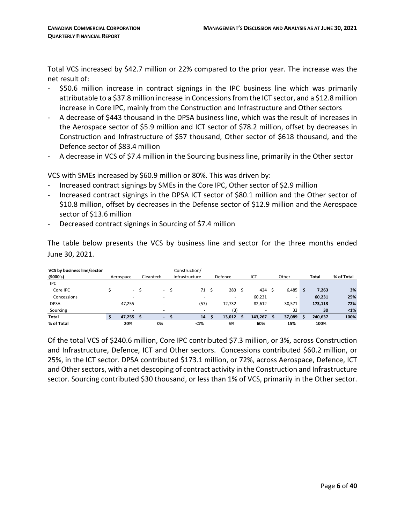Total VCS increased by \$42.7 million or 22% compared to the prior year. The increase was the net result of:

- \$50.6 million increase in contract signings in the IPC business line which was primarily attributable to a \$37.8 million increase in Concessions from the ICT sector, and a \$12.8 million increase in Core IPC, mainly from the Construction and Infrastructure and Other sectors
- A decrease of \$443 thousand in the DPSA business line, which was the result of increases in the Aerospace sector of \$5.9 million and ICT sector of \$78.2 million, offset by decreases in Construction and Infrastructure of \$57 thousand, Other sector of \$618 thousand, and the Defence sector of \$83.4 million
- A decrease in VCS of \$7.4 million in the Sourcing business line, primarily in the Other sector

VCS with SMEs increased by \$60.9 million or 80%. This was driven by:

- Increased contract signings by SMEs in the Core IPC, Other sector of \$2.9 million
- Increased contract signings in the DPSA ICT sector of \$80.1 million and the Other sector of \$10.8 million, offset by decreases in the Defense sector of \$12.9 million and the Aerospace sector of \$13.6 million
- Decreased contract signings in Sourcing of \$7.4 million

The table below presents the VCS by business line and sector for the three months ended June 30, 2021.

| VCS by business line/sector<br>(5000's) | Aerospace |      | Cleantech                | Construction/<br>Infrastructure |    | Defence | ICT     | Other  |   | Total   | % of Total |
|-----------------------------------------|-----------|------|--------------------------|---------------------------------|----|---------|---------|--------|---|---------|------------|
| <b>IPC</b>                              |           |      |                          |                                 |    |         |         |        |   |         |            |
| Core IPC                                |           | - \$ | ۰.                       | 71                              | .s | 283     | 424     | 6,485  | Ŝ | 7,263   | 3%         |
| Concessions                             | $\sim$    |      | $\overline{\phantom{a}}$ |                                 |    |         | 60,231  |        |   | 60,231  | 25%        |
| <b>DPSA</b>                             | 47,255    |      |                          | (57)                            |    | 12,732  | 82,612  | 30,571 |   | 173,113 | 72%        |
| Sourcing                                | ۰         |      |                          | ۰                               |    | (3)     |         | 33     |   | 30      | $<1\%$     |
| <b>Total</b>                            | 47,255    |      | $\overline{\phantom{0}}$ | 14                              |    | 13,012  | 143,267 | 37,089 |   | 240,637 | 100%       |
| % of Total                              | 20%       |      | 0%                       | $1%$                            |    | 5%      | 60%     | 15%    |   | 100%    |            |

Of the total VCS of \$240.6 million, Core IPC contributed \$7.3 million, or 3%, across Construction and Infrastructure, Defence, ICT and Other sectors. Concessions contributed \$60.2 million, or 25%, in the ICT sector. DPSA contributed \$173.1 million, or 72%, across Aerospace, Defence, ICT and Other sectors, with a net descoping of contract activity in the Construction and Infrastructure sector. Sourcing contributed \$30 thousand, or less than 1% of VCS, primarily in the Other sector.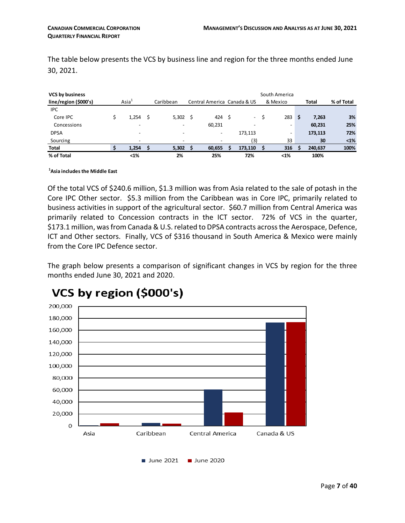The table below presents the VCS by business line and region for the three months ended June 30, 2021.

| <b>VCS by business</b><br>line/region (\$000's) | $\text{Asia}^1$          |   | Caribbean                | Central America Canada & US |                             | South America<br>& Mexico |    | Total   | % of Total |
|-------------------------------------------------|--------------------------|---|--------------------------|-----------------------------|-----------------------------|---------------------------|----|---------|------------|
| <b>IPC</b>                                      |                          |   |                          |                             |                             |                           |    |         |            |
| Core IPC                                        | 1.254                    | S | $5,302 \quad$ \$         | 424 \$                      | $\mathcal{L}^{\mathcal{L}}$ | 283                       | .S | 7,263   | 3%         |
| Concessions                                     | $\overline{\phantom{0}}$ |   |                          | 60,231                      |                             | $\overline{\phantom{a}}$  |    | 60,231  | 25%        |
| <b>DPSA</b>                                     | $\overline{\phantom{a}}$ |   | $\overline{\phantom{a}}$ | -                           | 173.113                     | $\overline{\phantom{a}}$  |    | 173,113 | 72%        |
| Sourcing                                        | $\overline{\phantom{0}}$ |   |                          |                             | (3)                         | 33                        |    | 30      | $< 1\%$    |
| <b>Total</b>                                    | 1,254                    |   | 5,302                    | 60,655                      | 173,110                     | 316                       |    | 240,637 | 100%       |
| % of Total                                      | $1%$                     |   | 2%                       | 25%                         | 72%                         | $1%$                      |    | 100%    |            |

#### **1 Asia includes the Middle East**

Of the total VCS of \$240.6 million, \$1.3 million was from Asia related to the sale of potash in the Core IPC Other sector. \$5.3 million from the Caribbean was in Core IPC, primarily related to business activities in support of the agricultural sector. \$60.7 million from Central America was primarily related to Concession contracts in the ICT sector. 72% of VCS in the quarter, \$173.1 million, was from Canada & U.S. related to DPSA contracts across the Aerospace, Defence, ICT and Other sectors. Finally, VCS of \$316 thousand in South America & Mexico were mainly from the Core IPC Defence sector.

The graph below presents a comparison of significant changes in VCS by region for the three months ended June 30, 2021 and 2020.



# VCS by region (\$000's)

June 2021 June 2020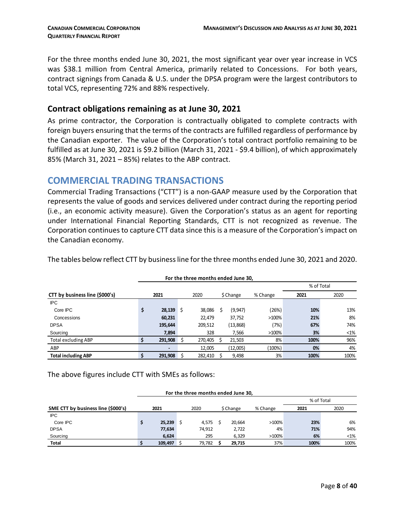For the three months ended June 30, 2021, the most significant year over year increase in VCS was \$38.1 million from Central America, primarily related to Concessions. For both years, contract signings from Canada & U.S. under the DPSA program were the largest contributors to total VCS, representing 72% and 88% respectively.

#### **Contract obligations remaining as at June 30, 2021**

As prime contractor, the Corporation is contractually obligated to complete contracts with foreign buyers ensuring that the terms of the contracts are fulfilled regardless of performance by the Canadian exporter. The value of the Corporation's total contract portfolio remaining to be fulfilled as at June 30, 2021 is \$9.2 billion (March 31, 2021 - \$9.4 billion), of which approximately 85% (March 31, 2021 – 85%) relates to the ABP contract.

# <span id="page-7-0"></span>**COMMERCIAL TRADING TRANSACTIONS**

Commercial Trading Transactions ("CTT") is a non-GAAP measure used by the Corporation that represents the value of goods and services delivered under contract during the reporting period (i.e., an economic activity measure). Given the Corporation's status as an agent for reporting under International Financial Reporting Standards, CTT is not recognized as revenue. The Corporation continues to capture CTT data since this is a measure of the Corporation's impact on the Canadian economy.

| For the three months ended June 30, |            |         |    |         |  |           |           |      |        |  |  |  |  |
|-------------------------------------|------------|---------|----|---------|--|-----------|-----------|------|--------|--|--|--|--|
|                                     | % of Total |         |    |         |  |           |           |      |        |  |  |  |  |
| CTT by business line (\$000's)      |            | 2021    |    | 2020    |  | \$ Change | % Change  | 2021 | 2020   |  |  |  |  |
| <b>IPC</b>                          |            |         |    |         |  |           |           |      |        |  |  |  |  |
| Core IPC                            | \$         | 28,139  | S  | 38,086  |  | (9, 947)  | (26%)     | 10%  | 13%    |  |  |  |  |
| Concessions                         |            | 60,231  |    | 22.479  |  | 37,752    | $>100\%$  | 21%  | 8%     |  |  |  |  |
| <b>DPSA</b>                         |            | 195,644 |    | 209,512 |  | (13, 868) | (7%)      | 67%  | 74%    |  |  |  |  |
| Sourcing                            |            | 7,894   |    | 328     |  | 7,566     | >100%     | 3%   | $<$ 1% |  |  |  |  |
| <b>Total excluding ABP</b>          |            | 291,908 |    | 270,405 |  | 21,503    | 8%        | 100% | 96%    |  |  |  |  |
| <b>ABP</b>                          |            |         |    | 12.005  |  | (12,005)  | $(100\%)$ | 0%   | 4%     |  |  |  |  |
| <b>Total including ABP</b>          | S          | 291.908 | -S | 282.410 |  | 9.498     | 3%        | 100% | 100%   |  |  |  |  |

The tables below reflect CTT by businessline for the three months ended June 30, 2021 and 2020.

The above figures include CTT with SMEs as follows:

| For the three months ended June 30, |            |         |  |        |  |           |          |      |      |  |  |  |  |  |
|-------------------------------------|------------|---------|--|--------|--|-----------|----------|------|------|--|--|--|--|--|
|                                     | % of Total |         |  |        |  |           |          |      |      |  |  |  |  |  |
| SME CTT by business line (\$000's)  |            | 2021    |  | 2020   |  | \$ Change | % Change | 2021 | 2020 |  |  |  |  |  |
| <b>IPC</b>                          |            |         |  |        |  |           |          |      |      |  |  |  |  |  |
| Core IPC                            | \$         | 25,239  |  | 4.575  |  | 20.664    | >100%    | 23%  | 6%   |  |  |  |  |  |
| <b>DPSA</b>                         |            | 77,634  |  | 74,912 |  | 2,722     | 4%       | 71%  | 94%  |  |  |  |  |  |
| Sourcing                            |            | 6,624   |  | 295    |  | 6,329     | >100%    | 6%   | <1%  |  |  |  |  |  |
| <b>Total</b>                        | S          | 109,497 |  | 79,782 |  | 29.715    | 37%      | 100% | 100% |  |  |  |  |  |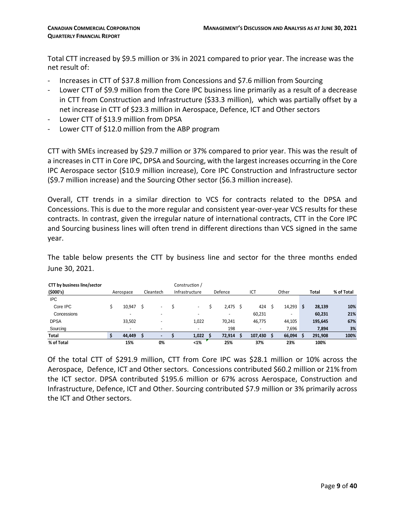Total CTT increased by \$9.5 million or 3% in 2021 compared to prior year. The increase was the net result of:

- Increases in CTT of \$37.8 million from Concessions and \$7.6 million from Sourcing
- Lower CTT of \$9.9 million from the Core IPC business line primarily as a result of a decrease in CTT from Construction and Infrastructure (\$33.3 million), which was partially offset by a net increase in CTT of \$23.3 million in Aerospace, Defence, ICT and Other sectors
- Lower CTT of \$13.9 million from DPSA
- Lower CTT of \$12.0 million from the ABP program

CTT with SMEs increased by \$29.7 million or 37% compared to prior year. This was the result of a increases in CTT in Core IPC, DPSA and Sourcing, with the largest increases occurring in the Core IPC Aerospace sector (\$10.9 million increase), Core IPC Construction and Infrastructure sector (\$9.7 million increase) and the Sourcing Other sector (\$6.3 million increase).

Overall, CTT trends in a similar direction to VCS for contracts related to the DPSA and Concessions. This is due to the more regular and consistent year-over-year VCS results for these contracts. In contrast, given the irregular nature of international contracts, CTT in the Core IPC and Sourcing business lines will often trend in different directions than VCS signed in the same year.

The table below presents the CTT by business line and sector for the three months ended June 30, 2021.

| <b>CTT by business line/sector</b> |                          |                          | Construction / |            |                          |        |   |              |            |
|------------------------------------|--------------------------|--------------------------|----------------|------------|--------------------------|--------|---|--------------|------------|
| (5000's)                           | Aerospace                | Cleantech                | Infrastructure | Defence    | ICT                      | Other  |   | <b>Total</b> | % of Total |
| <b>IPC</b>                         |                          |                          |                |            |                          |        |   |              |            |
| Core IPC                           | 10,947                   | $\overline{\phantom{a}}$ | ٠              | $2,475$ \$ | 424                      | 14,293 | S | 28,139       | 10%        |
| Concessions                        | $\overline{\phantom{a}}$ | $\sim$                   | ٠              | ٠          | 60,231                   | -      |   | 60,231       | 21%        |
| <b>DPSA</b>                        | 33,502                   | $\overline{a}$           | 1.022          | 70.241     | 46,775                   | 44,105 |   | 195,645      | 67%        |
| Sourcing                           | $\overline{\phantom{a}}$ | $\overline{\phantom{a}}$ | ٠              | 198        | $\overline{\phantom{0}}$ | 7,696  |   | 7,894        | 3%         |
| Total                              | 44,449                   |                          | 1,022          | 72,914     | 107,430                  | 66,094 |   | 291,908      | 100%       |
| % of Total                         | 15%                      | 0%                       | $< 1\%$        | 25%        | 37%                      | 23%    |   | 100%         |            |

Of the total CTT of \$291.9 million, CTT from Core IPC was \$28.1 million or 10% across the Aerospace, Defence, ICT and Other sectors. Concessions contributed \$60.2 million or 21% from the ICT sector. DPSA contributed \$195.6 million or 67% across Aerospace, Construction and Infrastructure, Defence, ICT and Other. Sourcing contributed \$7.9 million or 3% primarily across the ICT and Other sectors.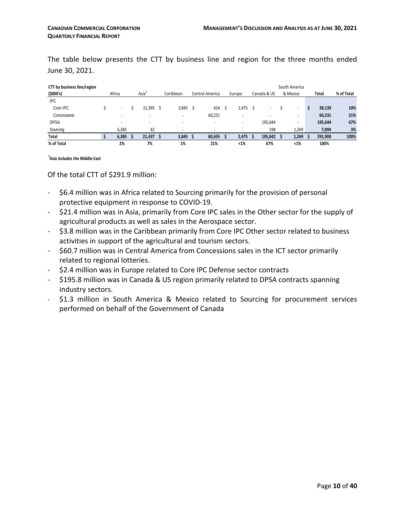The table below presents the CTT by business line and region for the three months ended June 30, 2021.

| CTT by business line/region |                             |  |        |           |                          |                          |        |                          |          |         | South America |            |         |      |
|-----------------------------|-----------------------------|--|--------|-----------|--------------------------|--------------------------|--------|--------------------------|----------|---------|---------------|------------|---------|------|
| (5000's)                    | Asia <sup>1</sup><br>Africa |  |        | Caribbean | Central America          |                          | Europe | Canada & US              | & Mexico |         | Total         | % of Total |         |      |
| <b>IPC</b>                  |                             |  |        |           |                          |                          |        |                          |          |         |               |            |         |      |
| Core IPC                    |                             |  | 21.395 |           | 3,845                    | 424                      |        | 2,475                    |          |         | ٠             | S          | 28,139  | 10%  |
| Concessions                 |                             |  |        |           | $\overline{\phantom{a}}$ | 60,231                   |        |                          |          |         | ٠             |            | 60,231  | 21%  |
| <b>DPSA</b>                 | ۰                           |  |        |           | $\overline{\phantom{a}}$ | $\overline{\phantom{a}}$ |        | $\overline{\phantom{a}}$ |          | 195,644 | ٠             |            | 195,644 | 67%  |
| Sourcing                    | 6.385                       |  | 42     |           | $\overline{\phantom{a}}$ | $\overline{\phantom{a}}$ |        |                          |          | 198     | 1.269         |            | 7,894   | 3%   |
| Total                       | 6,385                       |  | 21,437 |           | 3,845                    | 60,655                   |        | 2,475                    |          | 195,842 | 1,269         |            | 291,908 | 100% |
| % of Total                  | 2%                          |  | 7%     |           | 1%                       | 21%                      |        | $1%$                     |          | 67%     | $< 1\%$       |            | 100%    |      |

**1 Asia includes the Middle East** 

Of the total CTT of \$291.9 million:

- \$6.4 million was in Africa related to Sourcing primarily for the provision of personal protective equipment in response to COVID-19.
- \$21.4 million was in Asia, primarily from Core IPC sales in the Other sector for the supply of agricultural products as well as sales in the Aerospace sector.
- \$3.8 million was in the Caribbean primarily from Core IPC Other sector related to business activities in support of the agricultural and tourism sectors.
- \$60.7 million was in Central America from Concessions sales in the ICT sector primarily related to regional lotteries.
- \$2.4 million was in Europe related to Core IPC Defense sector contracts
- \$195.8 million was in Canada & US region primarily related to DPSA contracts spanning industry sectors.
- \$1.3 million in South America & Mexico related to Sourcing for procurement services performed on behalf of the Government of Canada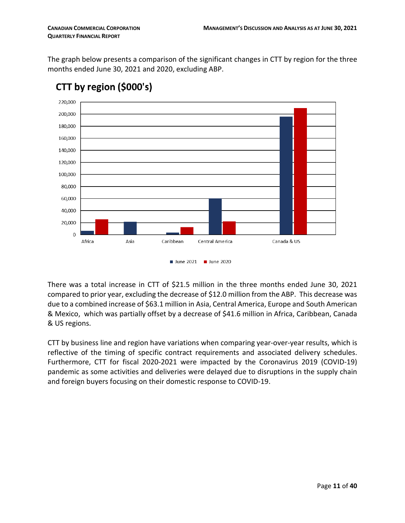The graph below presents a comparison of the significant changes in CTT by region for the three months ended June 30, 2021 and 2020, excluding ABP.



# CTT by region (\$000's)

There was a total increase in CTT of \$21.5 million in the three months ended June 30, 2021 compared to prior year, excluding the decrease of \$12.0 million from the ABP. This decrease was due to a combined increase of \$63.1 million in Asia, Central America, Europe and South American & Mexico, which was partially offset by a decrease of \$41.6 million in Africa, Caribbean, Canada & US regions.

CTT by business line and region have variations when comparing year-over-year results, which is reflective of the timing of specific contract requirements and associated delivery schedules. Furthermore, CTT for fiscal 2020-2021 were impacted by the Coronavirus 2019 (COVID-19) pandemic as some activities and deliveries were delayed due to disruptions in the supply chain and foreign buyers focusing on their domestic response to COVID-19.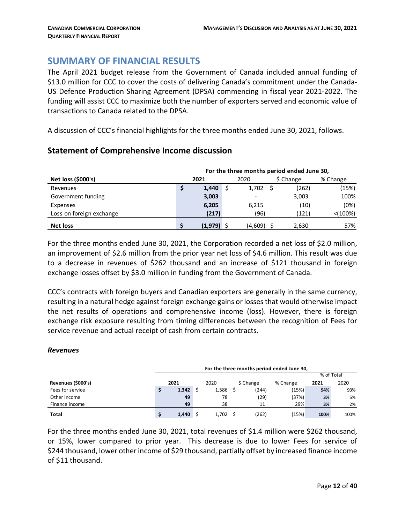# <span id="page-11-0"></span>**SUMMARY OF FINANCIAL RESULTS**

The April 2021 budget release from the Government of Canada included annual funding of \$13.0 million for CCC to cover the costs of delivering Canada's commitment under the Canada-US Defence Production Sharing Agreement (DPSA) commencing in fiscal year 2021-2022. The funding will assist CCC to maximize both the number of exporters served and economic value of transactions to Canada related to the DPSA.

A discussion of CCC's financial highlights for the three months ended June 30, 2021, follows.

# **Net loss (\$000's) 2021** 2020 2020 **\$** Change % Change Revenues **\$ 1,440** \$ 1,702 \$ (262) (15%) Government funding **3,003** - 3,003 100% Expenses **6,205** 6,215 (10) (0%) Loss on foreign exchange **(217)** (96) (121) <(100%) **Net loss \$ (1,979)** \$ (4,609) \$ 2,630 57%  **For the three months period ended June 30,**

#### **Statement of Comprehensive Income discussion**

For the three months ended June 30, 2021, the Corporation recorded a net loss of \$2.0 million, an improvement of \$2.6 million from the prior year net loss of \$4.6 million. This result was due to a decrease in revenues of \$262 thousand and an increase of \$121 thousand in foreign exchange losses offset by \$3.0 million in funding from the Government of Canada.

CCC's contracts with foreign buyers and Canadian exporters are generally in the same currency, resulting in a natural hedge against foreign exchange gains or losses that would otherwise impact the net results of operations and comprehensive income (loss). However, there is foreign exchange risk exposure resulting from timing differences between the recognition of Fees for service revenue and actual receipt of cash from certain contracts.

#### *Revenues*

|                    | For the three months period ended June 30, |       |            |       |  |           |          |      |      |  |  |  |  |
|--------------------|--------------------------------------------|-------|------------|-------|--|-----------|----------|------|------|--|--|--|--|
|                    |                                            |       | % of Total |       |  |           |          |      |      |  |  |  |  |
| Revenues (\$000's) |                                            | 2021  |            | 2020  |  | \$ Change | % Change | 2021 | 2020 |  |  |  |  |
| Fees for service   |                                            | 1,342 |            | 1,586 |  | '244)     | (15%)    | 94%  | 93%  |  |  |  |  |
| Other income       |                                            | 49    |            | 78    |  | (29)      | (37%)    | 3%   | 5%   |  |  |  |  |
| Finance income     |                                            | 49    |            | 38    |  | 11        | 29%      | 3%   | 2%   |  |  |  |  |
| <b>Total</b>       |                                            | 1.440 |            | 1.702 |  | (262)     | (15%)    | 100% | 100% |  |  |  |  |

For the three months ended June 30, 2021, total revenues of \$1.4 million were \$262 thousand, or 15%, lower compared to prior year. This decrease is due to lower Fees for service of \$244 thousand, lower other income of \$29 thousand, partially offset by increased finance income of \$11 thousand.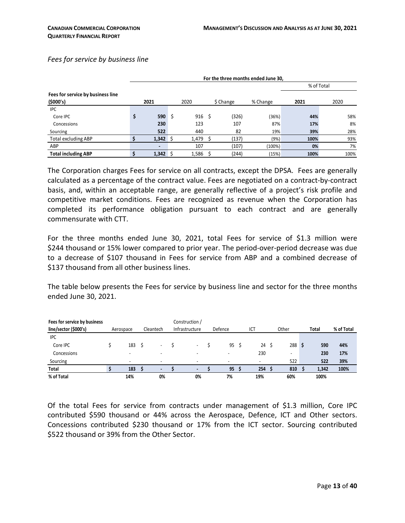#### *Fees for service by business line*

|                                   | For the three months ended June 30, |      |               |           |          |            |      |
|-----------------------------------|-------------------------------------|------|---------------|-----------|----------|------------|------|
|                                   |                                     |      |               |           |          | % of Total |      |
| Fees for service by business line |                                     |      |               |           |          |            |      |
| (5000's)                          | 2021                                |      | 2020          | \$ Change | % Change | 2021       | 2020 |
| <b>IPC</b>                        |                                     |      |               |           |          |            |      |
| Core IPC                          | \$<br>590                           | - \$ | $916 \quad $$ | (326)     | (36%)    | 44%        | 58%  |
| Concessions                       | 230                                 |      | 123           | 107       | 87%      | 17%        | 8%   |
| Sourcing                          | 522                                 |      | 440           | 82        | 19%      | 39%        | 28%  |
| <b>Total excluding ABP</b>        | $1,342 \quad$                       |      | $1,479$ \$    | (137)     | (9%)     | 100%       | 93%  |
| ABP                               | $\overline{\phantom{0}}$            |      | 107           | (107)     | (100%)   | 0%         | 7%   |
| <b>Total including ABP</b>        | \$<br>$1,342 \quad$                 |      | 1,586         | (244)     | (15%)    | 100%       | 100% |

The Corporation charges Fees for service on all contracts, except the DPSA. Fees are generally calculated as a percentage of the contract value. Fees are negotiated on a contract-by-contract basis, and, within an acceptable range, are generally reflective of a project's risk profile and competitive market conditions. Fees are recognized as revenue when the Corporation has completed its performance obligation pursuant to each contract and are generally commensurate with CTT.

For the three months ended June 30, 2021, total Fees for service of \$1.3 million were \$244 thousand or 15% lower compared to prior year. The period-over-period decrease was due to a decrease of \$107 thousand in Fees for service from ABP and a combined decrease of \$137 thousand from all other business lines.

The table below presents the Fees for service by business line and sector for the three months ended June 30, 2021.

| Fees for service by business |           |                          | Construction /           |                |     |                  |       |            |
|------------------------------|-----------|--------------------------|--------------------------|----------------|-----|------------------|-------|------------|
| line/sector (\$000's)        | Aerospace | Cleantech                | Infrastructure           | Defence        | ICT | Other            | Total | % of Total |
| <b>IPC</b>                   |           |                          |                          |                |     |                  |       |            |
| Core IPC                     | 183       | ۰                        |                          | 95             | 24  | 288 <sup>5</sup> | 590   | 44%        |
| Concessions                  |           | ۰                        |                          |                | 230 | -                | 230   | 17%        |
| Sourcing                     | -         | $\sim$                   | $\blacksquare$           | $\blacksquare$ | ۰   | 522              | 522   | 39%        |
| Total                        | 183       | $\overline{\phantom{a}}$ | $\overline{\phantom{a}}$ | 95             | 254 | 810              | 1,342 | 100%       |
| % of Total                   | 14%       | 0%                       | 0%                       | 7%             | 19% | 60%              | 100%  |            |

Of the total Fees for service from contracts under management of \$1.3 million, Core IPC contributed \$590 thousand or 44% across the Aerospace, Defence, ICT and Other sectors. Concessions contributed \$230 thousand or 17% from the ICT sector. Sourcing contributed \$522 thousand or 39% from the Other Sector.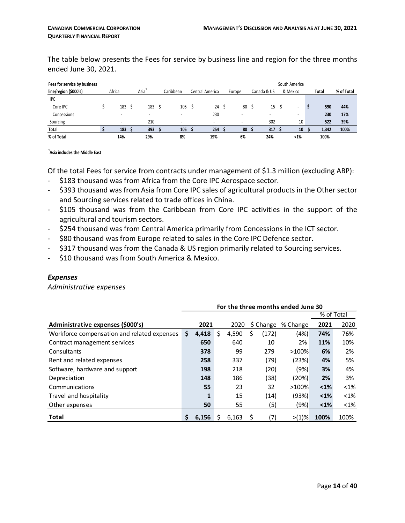The table below presents the Fees for service by business line and region for the three months ended June 30, 2021.

| Fees for service by business |        |                          |                          |                 |        |             | South America            |       |            |
|------------------------------|--------|--------------------------|--------------------------|-----------------|--------|-------------|--------------------------|-------|------------|
| line/region (\$000's)        | Africa | Asia <sup>1</sup>        | Caribbean                | Central America | Europe | Canada & US | & Mexico                 | Total | % of Total |
| <b>IPC</b>                   |        |                          |                          |                 |        |             |                          |       |            |
| Core IPC                     | 183    | 183                      | 105                      | 24              | 80     | 15          | $\overline{\phantom{a}}$ | 590   | 44%        |
| Concessions                  |        | $\overline{\phantom{0}}$ | $\overline{\phantom{a}}$ | 230             |        |             | $\overline{\phantom{0}}$ | 230   | 17%        |
| Sourcing                     |        | 210                      | $\overline{\phantom{a}}$ | -               | -      | 302         | 10                       | 522   | 39%        |
| Total                        | 183    | 393                      | 105                      | 254             | 80     | 317         | 10                       | 1,342 | 100%       |
| % of Total                   | 14%    | 29%                      | 8%                       | 19%             | 6%     | 24%         | $< 1\%$                  | 100%  |            |

#### **1 Asia includes the Middle East**

Of the total Fees for service from contracts under management of \$1.3 million (excluding ABP):

- \$183 thousand was from Africa from the Core IPC Aerospace sector.
- \$393 thousand was from Asia from Core IPC sales of agricultural products in the Other sector and Sourcing services related to trade offices in China.
- \$105 thousand was from the Caribbean from Core IPC activities in the support of the agricultural and tourism sectors.
- \$254 thousand was from Central America primarily from Concessions in the ICT sector.
- \$80 thousand was from Europe related to sales in the Core IPC Defence sector.
- \$317 thousand was from the Canada & US region primarily related to Sourcing services.
- \$10 thousand was from South America & Mexico.

#### *Expenses*

*Administrative expenses*

|                                             | For the three months ended June 30 |       |   |       |             |             |               |            |  |  |  |  |
|---------------------------------------------|------------------------------------|-------|---|-------|-------------|-------------|---------------|------------|--|--|--|--|
|                                             |                                    |       |   |       |             |             |               | % of Total |  |  |  |  |
| Administrative expenses (\$000's)           |                                    | 2021  |   | 2020  | \$ Change   | % Change    | 2021          | 2020       |  |  |  |  |
| Workforce compensation and related expenses | \$                                 | 4,418 | S | 4,590 | (172)<br>\$ | (4%)        | 74%           | 76%        |  |  |  |  |
| Contract management services                |                                    | 650   |   | 640   | 10          | 2%          | 11%           | 10%        |  |  |  |  |
| Consultants                                 |                                    | 378   |   | 99    | 279         | >100%       | 6%            | 2%         |  |  |  |  |
| Rent and related expenses                   |                                    | 258   |   | 337   | (79)        | (23%)       | 4%            | 5%         |  |  |  |  |
| Software, hardware and support              |                                    | 198   |   | 218   | (20)        | (9%)        | 3%            | 4%         |  |  |  |  |
| Depreciation                                |                                    | 148   |   | 186   | (38)        | (20%)       | 2%            | 3%         |  |  |  |  |
| Communications                              |                                    | 55    |   | 23    | 32          | >100%       | $1%$          | $< 1\%$    |  |  |  |  |
| Travel and hospitality                      |                                    |       |   | 15    | (14)        | (93%)       | $1%$          | $< 1\%$    |  |  |  |  |
| Other expenses                              |                                    | 50    |   | 55    |             | (5)<br>(9%) | $\langle 1\%$ | $<$ 1%     |  |  |  |  |
| <b>Total</b>                                |                                    | 6.156 |   | 6,163 | (7)         | $>11\%$     | 100%          | 100%       |  |  |  |  |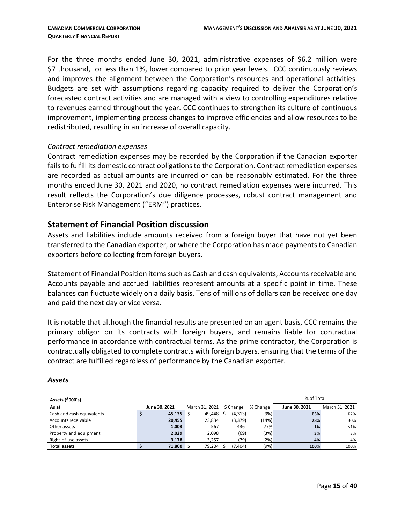For the three months ended June 30, 2021, administrative expenses of \$6.2 million were \$7 thousand, or less than 1%, lower compared to prior year levels. CCC continuously reviews and improves the alignment between the Corporation's resources and operational activities. Budgets are set with assumptions regarding capacity required to deliver the Corporation's forecasted contract activities and are managed with a view to controlling expenditures relative to revenues earned throughout the year. CCC continues to strengthen its culture of continuous improvement, implementing process changes to improve efficiencies and allow resources to be redistributed, resulting in an increase of overall capacity.

#### *Contract remediation expenses*

Contract remediation expenses may be recorded by the Corporation if the Canadian exporter fails to fulfill its domestic contract obligations to the Corporation. Contract remediation expenses are recorded as actual amounts are incurred or can be reasonably estimated. For the three months ended June 30, 2021 and 2020, no contract remediation expenses were incurred. This result reflects the Corporation's due diligence processes, robust contract management and Enterprise Risk Management ("ERM") practices.

#### **Statement of Financial Position discussion**

Assets and liabilities include amounts received from a foreign buyer that have not yet been transferred to the Canadian exporter, or where the Corporation has made payments to Canadian exporters before collecting from foreign buyers.

Statement of Financial Position items such as Cash and cash equivalents, Accounts receivable and Accounts payable and accrued liabilities represent amounts at a specific point in time. These balances can fluctuate widely on a daily basis. Tens of millions of dollars can be received one day and paid the next day or vice versa.

It is notable that although the financial results are presented on an agent basis, CCC remains the primary obligor on its contracts with foreign buyers, and remains liable for contractual performance in accordance with contractual terms. As the prime contractor, the Corporation is contractually obligated to complete contracts with foreign buyers, ensuring that the terms of the contract are fulfilled regardless of performance by the Canadian exporter.

#### *Assets*

| Assets (\$000's)          |               |                |           |          | % of Total    |                |
|---------------------------|---------------|----------------|-----------|----------|---------------|----------------|
| As at                     | June 30, 2021 | March 31, 2021 | \$ Change | % Change | June 30, 2021 | March 31, 2021 |
| Cash and cash equivalents | 45,135        | 49.448         | (4, 313)  | (9%)     | 63%           | 62%            |
| Accounts receivable       | 20,455        | 23,834         | (3, 379)  | (14%)    | 28%           | 30%            |
| Other assets              | 1,003         | 567            | 436       | 77%      | 1%            | $< 1\%$        |
| Property and equipment    | 2,029         | 2,098          | (69)      | (3%)     | 3%            | 3%             |
| Right-of-use assets       | 3.178         | 3.257          | (79)      | (2%)     | 4%            | 4%             |
| <b>Total assets</b>       | 71,800        | 79,204         | (7, 404)  | (9%)     | 100%          | 100%           |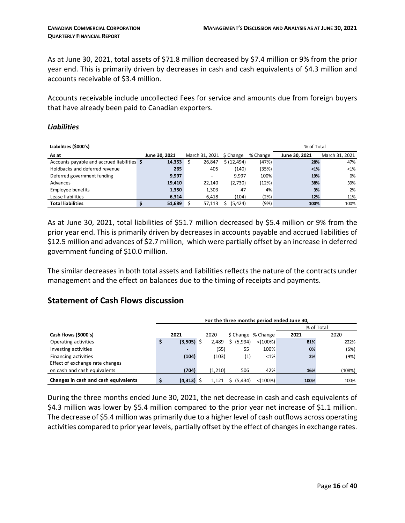As at June 30, 2021, total assets of \$71.8 million decreased by \$7.4 million or 9% from the prior year end. This is primarily driven by decreases in cash and cash equivalents of \$4.3 million and accounts receivable of \$3.4 million.

Accounts receivable include uncollected Fees for service and amounts due from foreign buyers that have already been paid to Canadian exporters.

#### *Liabilities*

| Liabilities (\$000's)                       |               |                          |             |          | % of Total    |                |
|---------------------------------------------|---------------|--------------------------|-------------|----------|---------------|----------------|
| As at                                       | June 30, 2021 | March 31, 2021 \$ Change |             | % Change | June 30, 2021 | March 31, 2021 |
| Accounts payable and accrued liabilities \$ | 14,353        | 26,847                   | \$(12, 494) | (47%)    | 28%           | 47%            |
| Holdbacks and deferred revenue              | 265           | 405                      | (140)       | (35%)    | $1%$          | $< 1\%$        |
| Deferred government funding                 | 9,997         | $\overline{\phantom{a}}$ | 9.997       | 100%     | 19%           | 0%             |
| Advances                                    | 19,410        | 22,140                   | (2,730)     | (12%)    | 38%           | 39%            |
| Employee benefits                           | 1,350         | 1,303                    | 47          | 4%       | 3%            | 2%             |
| Lease liabilities                           | 6,314         | 6.418                    | (104)       | (2%)     | 12%           | 11%            |
| <b>Total liabilities</b>                    | 51,689        | 57,113                   | (5,424)     | (9%)     | 100%          | 100%           |

As at June 30, 2021, total liabilities of \$51.7 million decreased by \$5.4 million or 9% from the prior year end. This is primarily driven by decreases in accounts payable and accrued liabilities of \$12.5 million and advances of \$2.7 million, which were partially offset by an increase in deferred government funding of \$10.0 million.

The similar decreases in both total assets and liabilities reflects the nature of the contracts under management and the effect on balances due to the timing of receipts and payments.

# **Statement of Cash Flows discussion**

|                                      | For the three months period ended June 30, |                          |  |         |            |                    |      |            |  |  |  |
|--------------------------------------|--------------------------------------------|--------------------------|--|---------|------------|--------------------|------|------------|--|--|--|
|                                      |                                            |                          |  |         |            |                    |      | % of Total |  |  |  |
| Cash flows (\$000's)                 |                                            | 2021                     |  | 2020    |            | \$ Change % Change | 2021 | 2020       |  |  |  |
| Operating activities                 |                                            | $(3,505)$ \$             |  | 2,489   | \$ (5,994) | $< (100\%)$        | 81%  | 222%       |  |  |  |
| Investing activities                 |                                            | $\overline{\phantom{0}}$ |  | (55)    | 55         | 100%               | 0%   | (5%)       |  |  |  |
| Financing activities                 |                                            | (104)                    |  | (103)   | (1)        | $< 1\%$            | 2%   | (9%)       |  |  |  |
| Effect of exchange rate changes      |                                            |                          |  |         |            |                    |      |            |  |  |  |
| on cash and cash equivalents         |                                            | (704)                    |  | (1,210) | 506        | 42%                | 16%  | (108%)     |  |  |  |
| Changes in cash and cash equivalents |                                            | $(4,313)$ \$             |  | 1.121   | \$ (5,434) | $< (100\%)$        | 100% | 100%       |  |  |  |

During the three months ended June 30, 2021, the net decrease in cash and cash equivalents of \$4.3 million was lower by \$5.4 million compared to the prior year net increase of \$1.1 million. The decrease of \$5.4 million was primarily due to a higher level of cash outflows across operating activities compared to prior year levels, partially offset by the effect of changes in exchange rates.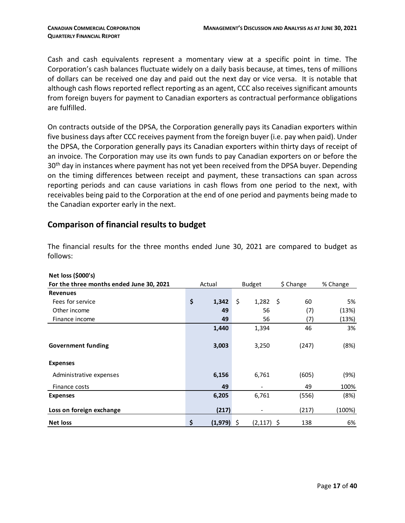Cash and cash equivalents represent a momentary view at a specific point in time. The Corporation's cash balances fluctuate widely on a daily basis because, at times, tens of millions of dollars can be received one day and paid out the next day or vice versa. It is notable that although cash flows reported reflect reporting as an agent, CCC also receives significant amounts from foreign buyers for payment to Canadian exporters as contractual performance obligations are fulfilled.

On contracts outside of the DPSA, the Corporation generally pays its Canadian exporters within five business days after CCC receives payment from the foreign buyer (i.e. pay when paid). Under the DPSA, the Corporation generally pays its Canadian exporters within thirty days of receipt of an invoice. The Corporation may use its own funds to pay Canadian exporters on or before the 30<sup>th</sup> day in instances where payment has not yet been received from the DPSA buyer. Depending on the timing differences between receipt and payment, these transactions can span across reporting periods and can cause variations in cash flows from one period to the next, with receivables being paid to the Corporation at the end of one period and payments being made to the Canadian exporter early in the next.

#### **Comparison of financial results to budget**

| Net loss (\$000's)                       |                |                    |           |          |
|------------------------------------------|----------------|--------------------|-----------|----------|
| For the three months ended June 30, 2021 | Actual         | <b>Budget</b>      | \$ Change | % Change |
| <b>Revenues</b>                          |                |                    |           |          |
| Fees for service                         | \$<br>1,342    | \$<br>$1,282$ \$   | 60        | 5%       |
| Other income                             | 49             | 56                 | (7)       | (13%)    |
| Finance income                           | 49             | 56                 | (7)       | (13%)    |
|                                          | 1,440          | 1,394              | 46        | 3%       |
|                                          |                |                    |           |          |
| <b>Government funding</b>                | 3,003          | 3,250              | (247)     | (8%)     |
|                                          |                |                    |           |          |
| <b>Expenses</b>                          |                |                    |           |          |
| Administrative expenses                  | 6,156          | 6,761              | (605)     | (9%)     |
| Finance costs                            | 49             |                    | 49        | 100%     |
| <b>Expenses</b>                          | 6,205          | 6,761              | (556)     | (8%)     |
| Loss on foreign exchange                 | (217)          |                    | (217)     | (100%)   |
| <b>Net loss</b>                          | \$<br>(1, 979) | \$<br>$(2,117)$ \$ | 138       | 6%       |

The financial results for the three months ended June 30, 2021 are compared to budget as follows: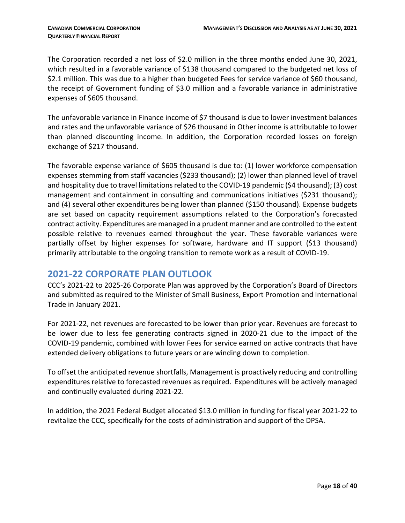The Corporation recorded a net loss of \$2.0 million in the three months ended June 30, 2021, which resulted in a favorable variance of \$138 thousand compared to the budgeted net loss of \$2.1 million. This was due to a higher than budgeted Fees for service variance of \$60 thousand, the receipt of Government funding of \$3.0 million and a favorable variance in administrative expenses of \$605 thousand.

The unfavorable variance in Finance income of \$7 thousand is due to lower investment balances and rates and the unfavorable variance of \$26 thousand in Other income is attributable to lower than planned discounting income. In addition, the Corporation recorded losses on foreign exchange of \$217 thousand.

The favorable expense variance of \$605 thousand is due to: (1) lower workforce compensation expenses stemming from staff vacancies (\$233 thousand); (2) lower than planned level of travel and hospitality due to travel limitations related to the COVID-19 pandemic (\$4 thousand); (3) cost management and containment in consulting and communications initiatives (\$231 thousand); and (4) several other expenditures being lower than planned (\$150 thousand). Expense budgets are set based on capacity requirement assumptions related to the Corporation's forecasted contract activity. Expenditures are managed in a prudent manner and are controlled to the extent possible relative to revenues earned throughout the year. These favorable variances were partially offset by higher expenses for software, hardware and IT support (\$13 thousand) primarily attributable to the ongoing transition to remote work as a result of COVID-19.

# <span id="page-17-0"></span>**2021-22 CORPORATE PLAN OUTLOOK**

CCC's 2021-22 to 2025-26 Corporate Plan was approved by the Corporation's Board of Directors and submitted as required to the Minister of Small Business, Export Promotion and International Trade in January 2021.

For 2021-22, net revenues are forecasted to be lower than prior year. Revenues are forecast to be lower due to less fee generating contracts signed in 2020-21 due to the impact of the COVID-19 pandemic, combined with lower Fees for service earned on active contracts that have extended delivery obligations to future years or are winding down to completion.

To offset the anticipated revenue shortfalls, Management is proactively reducing and controlling expenditures relative to forecasted revenues as required. Expenditures will be actively managed and continually evaluated during 2021-22.

In addition, the 2021 Federal Budget allocated \$13.0 million in funding for fiscal year 2021-22 to revitalize the CCC, specifically for the costs of administration and support of the DPSA.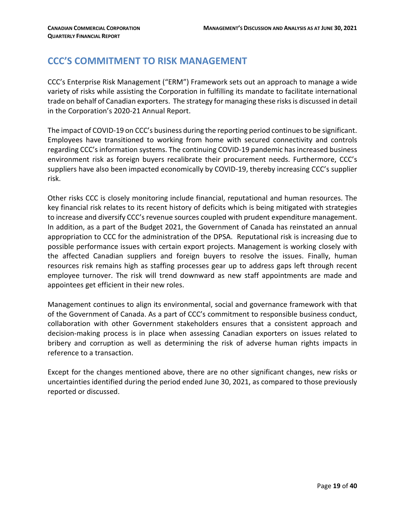# <span id="page-18-0"></span>**CCC'S COMMITMENT TO RISK MANAGEMENT**

CCC's Enterprise Risk Management ("ERM") Framework sets out an approach to manage a wide variety of risks while assisting the Corporation in fulfilling its mandate to facilitate international trade on behalf of Canadian exporters. The strategy for managing these risks is discussed in detail in the Corporation's 2020-21 Annual Report.

The impact of COVID-19 on CCC's business during the reporting period continues to be significant. Employees have transitioned to working from home with secured connectivity and controls regarding CCC's information systems. The continuing COVID-19 pandemic has increased business environment risk as foreign buyers recalibrate their procurement needs. Furthermore, CCC's suppliers have also been impacted economically by COVID-19, thereby increasing CCC's supplier risk.

Other risks CCC is closely monitoring include financial, reputational and human resources. The key financial risk relates to its recent history of deficits which is being mitigated with strategies to increase and diversify CCC's revenue sources coupled with prudent expenditure management. In addition, as a part of the Budget 2021, the Government of Canada has reinstated an annual appropriation to CCC for the administration of the DPSA. Reputational risk is increasing due to possible performance issues with certain export projects. Management is working closely with the affected Canadian suppliers and foreign buyers to resolve the issues. Finally, human resources risk remains high as staffing processes gear up to address gaps left through recent employee turnover. The risk will trend downward as new staff appointments are made and appointees get efficient in their new roles.

Management continues to align its environmental, social and governance framework with that of the Government of Canada. As a part of CCC's commitment to responsible business conduct, collaboration with other Government stakeholders ensures that a consistent approach and decision-making process is in place when assessing Canadian exporters on issues related to bribery and corruption as well as determining the risk of adverse human rights impacts in reference to a transaction.

Except for the changes mentioned above, there are no other significant changes, new risks or uncertainties identified during the period ended June 30, 2021, as compared to those previously reported or discussed.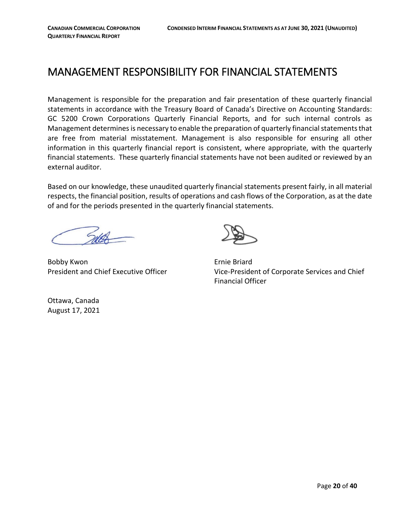# <span id="page-19-0"></span>MANAGEMENT RESPONSIBILITY FOR FINANCIAL STATEMENTS

Management is responsible for the preparation and fair presentation of these quarterly financial statements in accordance with the Treasury Board of Canada's Directive on Accounting Standards: GC 5200 Crown Corporations Quarterly Financial Reports, and for such internal controls as Management determines is necessary to enable the preparation of quarterly financial statements that are free from material misstatement. Management is also responsible for ensuring all other information in this quarterly financial report is consistent, where appropriate, with the quarterly financial statements. These quarterly financial statements have not been audited or reviewed by an external auditor.

Based on our knowledge, these unaudited quarterly financial statements present fairly, in all material respects, the financial position, results of operations and cash flows of the Corporation, as at the date of and for the periods presented in the quarterly financial statements.

Bobby Kwon **Example 2018** Ernie Briard



President and Chief Executive Officer Vice-President of Corporate Services and Chief Financial Officer

Ottawa, Canada August 17, 2021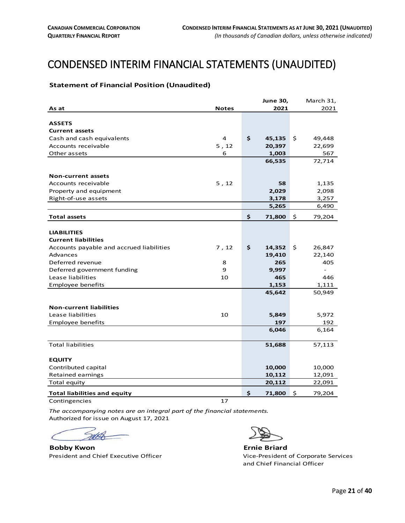# <span id="page-20-0"></span>**CONDENSED INTERIM FINANCIAL STATEMENTS (UNAUDITED)**

#### <span id="page-20-1"></span>**Statement of Financial Position (Unaudited)**

|                                          |              | <b>June 30,</b> | March 31,    |
|------------------------------------------|--------------|-----------------|--------------|
| As at                                    | <b>Notes</b> | 2021            | 2021         |
|                                          |              |                 |              |
| <b>ASSETS</b>                            |              |                 |              |
| <b>Current assets</b>                    |              |                 |              |
| Cash and cash equivalents                | 4            | \$<br>45,135    | \$<br>49,448 |
| Accounts receivable                      | 5, 12        | 20,397          | 22,699       |
| Other assets                             | 6            | 1,003           | 567          |
|                                          |              | 66,535          | 72,714       |
|                                          |              |                 |              |
| <b>Non-current assets</b>                |              |                 |              |
| Accounts receivable                      | 5, 12        | 58              | 1,135        |
| Property and equipment                   |              | 2,029           | 2,098        |
| Right-of-use assets                      |              | 3,178           | 3,257        |
|                                          |              | 5,265           | 6,490        |
| <b>Total assets</b>                      |              | \$<br>71,800    | \$<br>79,204 |
|                                          |              |                 |              |
| <b>LIABILITIES</b>                       |              |                 |              |
| <b>Current liabilities</b>               |              |                 |              |
| Accounts payable and accrued liabilities | 7, 12        | \$<br>14,352    | \$<br>26,847 |
| Advances                                 |              | 19,410          | 22,140       |
| Deferred revenue                         | 8            | 265             | 405          |
| Deferred government funding              | 9            | 9,997           | $\sim$       |
| Lease liabilities                        | 10           | 465             | 446          |
| <b>Employee benefits</b>                 |              | 1,153           | 1,111        |
|                                          |              | 45,642          | 50,949       |
|                                          |              |                 |              |
| <b>Non-current liabilities</b>           |              |                 |              |
| Lease liabilities                        | 10           | 5,849           | 5,972        |
| Employee benefits                        |              | 197             | 192          |
|                                          |              | 6,046           | 6,164        |
| <b>Total liabilities</b>                 |              | 51,688          | 57,113       |
| <b>EQUITY</b>                            |              |                 |              |
| Contributed capital                      |              | 10,000          | 10,000       |
| <b>Retained earnings</b>                 |              | 10,112          | 12,091       |
| Total equity                             |              | 20,112          | 22,091       |
| <b>Total liabilities and equity</b>      |              | \$<br>71,800    | \$<br>79,204 |

Contingencies 2012 17

*The accompanying notes are an integral part of the financial statements.* Authorized for issue on August 17, 2021

**Bobby Kwon Ernie Briard**

President and Chief Executive Officer Vice-President of Corporate Services and Chief Financial Officer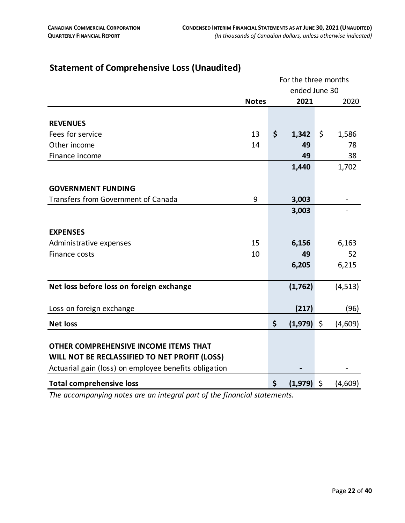|                                                       |              | For the three months |               |
|-------------------------------------------------------|--------------|----------------------|---------------|
|                                                       |              | ended June 30        |               |
|                                                       | <b>Notes</b> | 2021                 | 2020          |
|                                                       |              |                      |               |
| <b>REVENUES</b>                                       |              |                      |               |
| Fees for service                                      | 13           | \$<br>1,342          | \$<br>1,586   |
| Other income                                          | 14           | 49                   | 78            |
| Finance income                                        |              | 49                   | 38            |
|                                                       |              | 1,440                | 1,702         |
|                                                       |              |                      |               |
| <b>GOVERNMENT FUNDING</b>                             |              |                      |               |
| Transfers from Government of Canada                   | 9            | 3,003                |               |
|                                                       |              | 3,003                |               |
|                                                       |              |                      |               |
| <b>EXPENSES</b>                                       |              |                      |               |
| Administrative expenses                               | 15           | 6,156                | 6,163         |
| Finance costs                                         | 10           | 49                   | 52            |
|                                                       |              | 6,205                | 6,215         |
|                                                       |              |                      |               |
| Net loss before loss on foreign exchange              |              | (1,762)              | (4, 513)      |
|                                                       |              |                      |               |
| Loss on foreign exchange                              |              | (217)                | (96)          |
| <b>Net loss</b>                                       |              | \$<br>$(1,979)$ \$   | (4,609)       |
|                                                       |              |                      |               |
| OTHER COMPREHENSIVE INCOME ITEMS THAT                 |              |                      |               |
| WILL NOT BE RECLASSIFIED TO NET PROFIT (LOSS)         |              |                      |               |
| Actuarial gain (loss) on employee benefits obligation |              |                      |               |
| <b>Total comprehensive loss</b>                       |              | \$<br>(1, 979)       | \$<br>(4,609) |

# <span id="page-21-0"></span>**Statement of Comprehensive Loss (Unaudited)**

*The accompanying notes are an integral part of the financial statements.*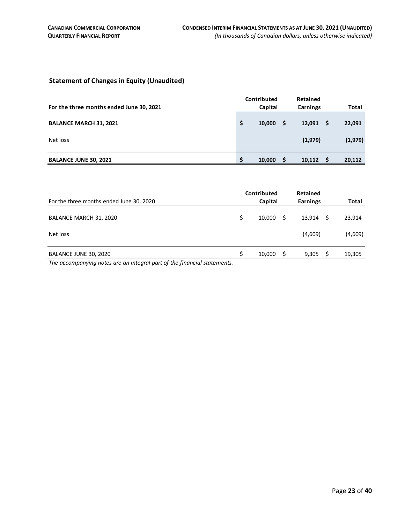#### <span id="page-22-0"></span>**Statement of Changes in Equity (Unaudited)**

|                                          |    | Contributed |   | <b>Retained</b> |    |              |
|------------------------------------------|----|-------------|---|-----------------|----|--------------|
| For the three months ended June 30, 2021 |    | Capital     |   | <b>Earnings</b> |    | <b>Total</b> |
| <b>BALANCE MARCH 31, 2021</b>            | \$ | 10,000      | S | 12,091          | -S | 22,091       |
| Net loss                                 |    |             |   | (1,979)         |    | (1,979)      |
| <b>BALANCE JUNE 30, 2021</b>             | c  | 10,000      |   | 10,112          |    | 20,112       |

| For the three months ended June 30, 2020                                                          | Contributed<br>Capital |        |   |         |    | <b>Total</b> |  |
|---------------------------------------------------------------------------------------------------|------------------------|--------|---|---------|----|--------------|--|
| BALANCE MARCH 31, 2020                                                                            |                        | 10.000 | S | 13,914  | -S | 23,914       |  |
| Net loss                                                                                          |                        |        |   | (4,609) |    | (4,609)      |  |
| BALANCE JUNE 30, 2020<br>$\sim$ $\sim$ $\sim$ $\sim$<br>$\sim$ $\sim$ $\sim$ $\sim$ $\sim$ $\sim$ |                        | 10,000 | S | 9,305   |    | 19,305       |  |

*The accompanying notes are an integral part of the financial statements.*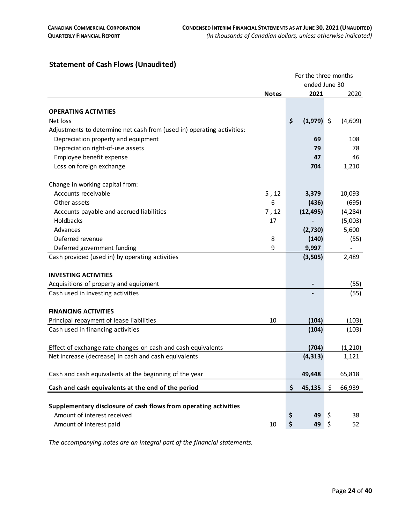# <span id="page-23-0"></span>**Statement of Cash Flows (Unaudited)**

|                                                                                                                      |              | For the three months |    |                   |
|----------------------------------------------------------------------------------------------------------------------|--------------|----------------------|----|-------------------|
|                                                                                                                      |              | ended June 30        |    |                   |
|                                                                                                                      | <b>Notes</b> | 2021                 |    | 2020              |
|                                                                                                                      |              |                      |    |                   |
| <b>OPERATING ACTIVITIES</b>                                                                                          |              |                      |    |                   |
| Net loss                                                                                                             |              | \$<br>$(1,979)$ \$   |    | (4,609)           |
| Adjustments to determine net cash from (used in) operating activities:                                               |              |                      |    |                   |
| Depreciation property and equipment                                                                                  |              | 69                   |    | 108               |
| Depreciation right-of-use assets                                                                                     |              | 79                   |    | 78                |
| Employee benefit expense                                                                                             |              | 47                   |    | 46                |
| Loss on foreign exchange                                                                                             |              | 704                  |    | 1,210             |
| Change in working capital from:                                                                                      |              |                      |    |                   |
| Accounts receivable                                                                                                  | 5, 12        | 3,379                |    | 10,093            |
| Other assets                                                                                                         | 6            | (436)                |    | (695)             |
| Accounts payable and accrued liabilities                                                                             | 7, 12        | (12, 495)            |    | (4, 284)          |
| Holdbacks                                                                                                            | 17           |                      |    | (5,003)           |
| Advances                                                                                                             |              | (2,730)              |    | 5,600             |
| Deferred revenue                                                                                                     | 8            | (140)                |    | (55)              |
| Deferred government funding                                                                                          | 9            | 9,997                |    |                   |
| Cash provided (used in) by operating activities                                                                      |              | (3,505)              |    | 2,489             |
| <b>INVESTING ACTIVITIES</b>                                                                                          |              |                      |    |                   |
| Acquisitions of property and equipment                                                                               |              |                      |    | (55)              |
| Cash used in investing activities                                                                                    |              |                      |    | (55)              |
|                                                                                                                      |              |                      |    |                   |
| <b>FINANCING ACTIVITIES</b>                                                                                          |              |                      |    |                   |
| Principal repayment of lease liabilities                                                                             | 10           | (104)                |    | (103)             |
| Cash used in financing activities                                                                                    |              | (104)                |    | (103)             |
|                                                                                                                      |              |                      |    |                   |
| Effect of exchange rate changes on cash and cash equivalents<br>Net increase (decrease) in cash and cash equivalents |              | (704)<br>(4, 313)    |    | (1, 210)<br>1,121 |
|                                                                                                                      |              |                      |    |                   |
| Cash and cash equivalents at the beginning of the year                                                               |              | 49,448               |    | 65,818            |
| Cash and cash equivalents at the end of the period                                                                   |              | \$<br>45,135         | \$ | 66,939            |
|                                                                                                                      |              |                      |    |                   |
| Supplementary disclosure of cash flows from operating activities                                                     |              |                      |    |                   |
| Amount of interest received                                                                                          |              | \$<br>49             | \$ | 38                |
| Amount of interest paid                                                                                              | 10           | \$<br>49             | \$ | 52                |

*The accompanying notes are an integral part of the financial statements.*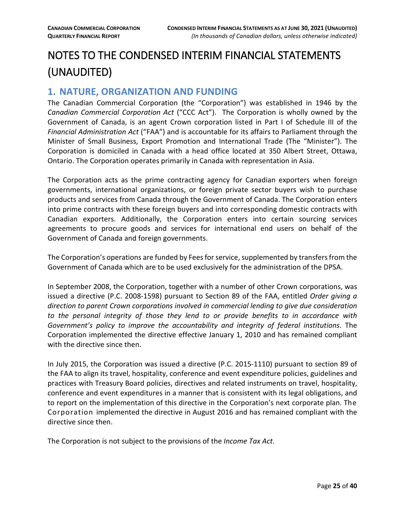# <span id="page-24-0"></span>NOTES TO THE CONDENSED INTERIM FINANCIAL STATEMENTS (UNAUDITED)

# <span id="page-24-1"></span>**1. NATURE, ORGANIZATION AND FUNDING**

The Canadian Commercial Corporation (the "Corporation") was established in 1946 by the *Canadian Commercial Corporation Act* ("CCC Act"). The Corporation is wholly owned by the Government of Canada, is an agent Crown corporation listed in Part I of Schedule III of the *Financial Administration Act* ("FAA") and is accountable for its affairs to Parliament through the Minister of Small Business, Export Promotion and International Trade (The "Minister"). The Corporation is domiciled in Canada with a head office located at 350 Albert Street, Ottawa, Ontario. The Corporation operates primarily in Canada with representation in Asia.

The Corporation acts as the prime contracting agency for Canadian exporters when foreign governments, international organizations, or foreign private sector buyers wish to purchase products and services from Canada through the Government of Canada. The Corporation enters into prime contracts with these foreign buyers and into corresponding domestic contracts with Canadian exporters. Additionally, the Corporation enters into certain sourcing services agreements to procure goods and services for international end users on behalf of the Government of Canada and foreign governments.

The Corporation's operations are funded by Fees for service, supplemented by transfers from the Government of Canada which are to be used exclusively for the administration of the DPSA.

In September 2008, the Corporation, together with a number of other Crown corporations, was issued a directive (P.C. 2008-1598) pursuant to Section 89 of the FAA, entitled *Order giving a direction to parent Crown corporations involved in commercial lending to give due consideration to the personal integrity of those they lend to or provide benefits to in accordance with Government's policy to improve the accountability and integrity of federal institutions*. The Corporation implemented the directive effective January 1, 2010 and has remained compliant with the directive since then.

In July 2015, the Corporation was issued a directive (P.C. 2015-1110) pursuant to section 89 of the FAA to align its travel, hospitality, conference and event expenditure policies, guidelines and practices with Treasury Board policies, directives and related instruments on travel, hospitality, conference and event expenditures in a manner that is consistent with its legal obligations, and to report on the implementation of this directive in the Corporation's next corporate plan. The Corporation implemented the directive in August 2016 and has remained compliant with the directive since then.

The Corporation is not subject to the provisions of the *Income Tax Act*.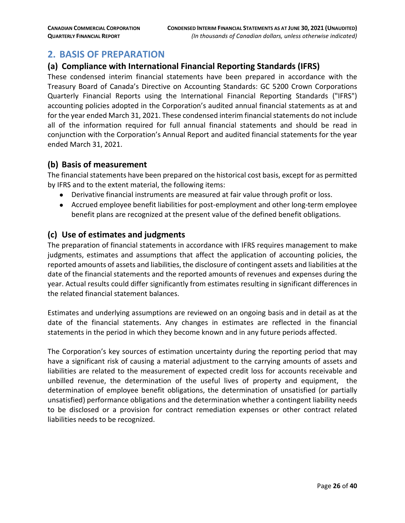# <span id="page-25-0"></span>**2. BASIS OF PREPARATION**

#### **(a) Compliance with International Financial Reporting Standards (IFRS)**

These condensed interim financial statements have been prepared in accordance with the Treasury Board of Canada's Directive on Accounting Standards: GC 5200 Crown Corporations Quarterly Financial Reports using the International Financial Reporting Standards ("IFRS") accounting policies adopted in the Corporation's audited annual financial statements as at and for the year ended March 31, 2021. These condensed interim financial statements do not include all of the information required for full annual financial statements and should be read in conjunction with the Corporation's Annual Report and audited financial statements for the year ended March 31, 2021.

#### **(b) Basis of measurement**

The financial statements have been prepared on the historical cost basis, except for as permitted by IFRS and to the extent material, the following items:

- Derivative financial instruments are measured at fair value through profit or loss.
- Accrued employee benefit liabilities for post-employment and other long-term employee benefit plans are recognized at the present value of the defined benefit obligations.

#### **(c) Use of estimates and judgments**

The preparation of financial statements in accordance with IFRS requires management to make judgments, estimates and assumptions that affect the application of accounting policies, the reported amounts of assets and liabilities, the disclosure of contingent assets and liabilities at the date of the financial statements and the reported amounts of revenues and expenses during the year. Actual results could differ significantly from estimates resulting in significant differences in the related financial statement balances.

Estimates and underlying assumptions are reviewed on an ongoing basis and in detail as at the date of the financial statements. Any changes in estimates are reflected in the financial statements in the period in which they become known and in any future periods affected.

The Corporation's key sources of estimation uncertainty during the reporting period that may have a significant risk of causing a material adjustment to the carrying amounts of assets and liabilities are related to the measurement of expected credit loss for accounts receivable and unbilled revenue, the determination of the useful lives of property and equipment, the determination of employee benefit obligations, the determination of unsatisfied (or partially unsatisfied) performance obligations and the determination whether a contingent liability needs to be disclosed or a provision for contract remediation expenses or other contract related liabilities needs to be recognized.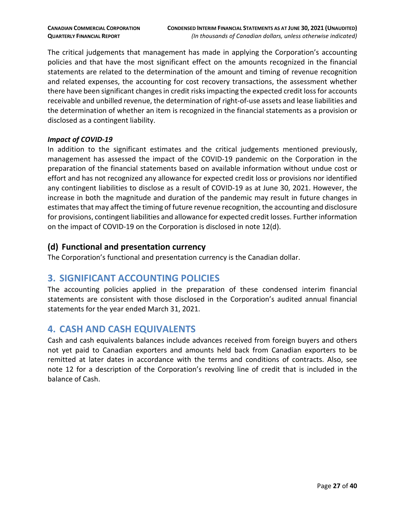The critical judgements that management has made in applying the Corporation's accounting policies and that have the most significant effect on the amounts recognized in the financial statements are related to the determination of the amount and timing of revenue recognition and related expenses, the accounting for cost recovery transactions, the assessment whether there have been significant changes in credit risks impacting the expected credit loss for accounts receivable and unbilled revenue, the determination of right-of-use assets and lease liabilities and the determination of whether an item is recognized in the financial statements as a provision or disclosed as a contingent liability.

#### *Impact of COVID-19*

In addition to the significant estimates and the critical judgements mentioned previously, management has assessed the impact of the COVID-19 pandemic on the Corporation in the preparation of the financial statements based on available information without undue cost or effort and has not recognized any allowance for expected credit loss or provisions nor identified any contingent liabilities to disclose as a result of COVID-19 as at June 30, 2021. However, the increase in both the magnitude and duration of the pandemic may result in future changes in estimates that may affect the timing of future revenue recognition, the accounting and disclosure for provisions, contingent liabilities and allowance for expected credit losses. Further information on the impact of COVID-19 on the Corporation is disclosed in note 12(d).

#### **(d) Functional and presentation currency**

The Corporation's functional and presentation currency is the Canadian dollar.

# <span id="page-26-0"></span>**3. SIGNIFICANT ACCOUNTING POLICIES**

The accounting policies applied in the preparation of these condensed interim financial statements are consistent with those disclosed in the Corporation's audited annual financial statements for the year ended March 31, 2021.

# <span id="page-26-1"></span>**4. CASH AND CASH EQUIVALENTS**

Cash and cash equivalents balances include advances received from foreign buyers and others not yet paid to Canadian exporters and amounts held back from Canadian exporters to be remitted at later dates in accordance with the terms and conditions of contracts. Also, see note 12 for a description of the Corporation's revolving line of credit that is included in the balance of Cash.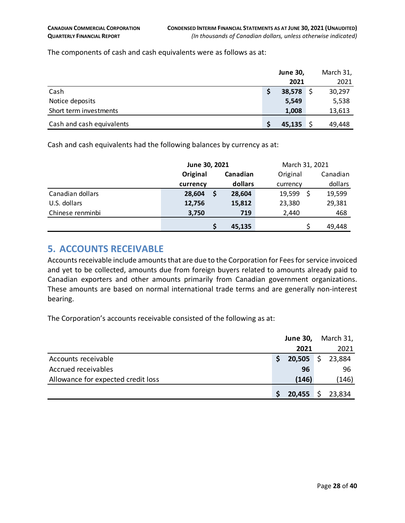The components of cash and cash equivalents were as follows as at:

|                           | <b>June 30,</b> | March 31, |
|---------------------------|-----------------|-----------|
|                           | 2021            | 2021      |
| Cash                      | 38,578          | 30,297    |
| Notice deposits           | 5,549           | 5,538     |
| Short term investments    | 1,008           | 13,613    |
| Cash and cash equivalents | 45,135          | 49,448    |

Cash and cash equivalents had the following balances by currency as at:

|                  | June 30, 2021 |          |          | March 31, 2021 |          |  |  |
|------------------|---------------|----------|----------|----------------|----------|--|--|
|                  | Original      | Canadian | Original |                | Canadian |  |  |
|                  | currency      | dollars  | currency |                | dollars  |  |  |
| Canadian dollars | 28,604        | 28,604   | 19,599   | Ś              | 19,599   |  |  |
| U.S. dollars     | 12,756        | 15,812   | 23,380   |                | 29,381   |  |  |
| Chinese renminbi | 3,750         | 719      | 2,440    |                | 468      |  |  |
|                  |               | 45,135   |          |                | 49.448   |  |  |

# <span id="page-27-0"></span>**5. ACCOUNTS RECEIVABLE**

Accounts receivable include amounts that are due to the Corporation for Fees for service invoiced and yet to be collected, amounts due from foreign buyers related to amounts already paid to Canadian exporters and other amounts primarily from Canadian government organizations. These amounts are based on normal international trade terms and are generally non-interest bearing.

The Corporation's accounts receivable consisted of the following as at:

|                                    | <b>June 30,</b> | March 31, |
|------------------------------------|-----------------|-----------|
|                                    | 2021            | 2021      |
| Accounts receivable                | $20,505$ \$     | 23,884    |
| Accrued receivables                | 96              | 96        |
| Allowance for expected credit loss | (146)           | (146)     |
|                                    | 20,455          | 23,834    |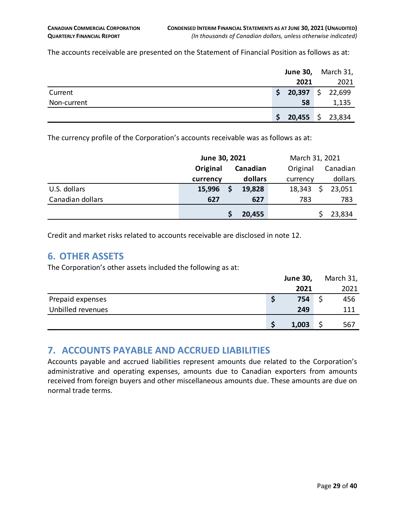The accounts receivable are presented on the Statement of Financial Position as follows as at:

|             |     | <b>June 30,</b>                    | March 31, |
|-------------|-----|------------------------------------|-----------|
|             |     | 2021                               | 2021      |
| Current     | \$. | $20,397$ \$ 22,699                 |           |
| Non-current |     | 58                                 | 1,135     |
|             |     | <b>20,455</b> $\frac{2}{3}$ 23,834 |           |

The currency profile of the Corporation's accounts receivable was as follows as at:

|                  | June 30, 2021 |  |          |          | March 31, 2021 |  |  |  |
|------------------|---------------|--|----------|----------|----------------|--|--|--|
|                  | Original      |  | Canadian | Original | Canadian       |  |  |  |
|                  | currency      |  | dollars  | currency | dollars        |  |  |  |
| U.S. dollars     | 15,996        |  | 19,828   | 18,343   | 23,051         |  |  |  |
| Canadian dollars | 627           |  | 627      | 783      | 783            |  |  |  |
|                  |               |  | 20,455   |          | 23,834         |  |  |  |

Credit and market risks related to accounts receivable are disclosed in note 12.

#### <span id="page-28-0"></span>**6. OTHER ASSETS**

The Corporation's other assets included the following as at:

|                   | <b>June 30,</b> | March 31, |
|-------------------|-----------------|-----------|
|                   | 2021            | 2021      |
| Prepaid expenses  | 754             | 456       |
| Unbilled revenues | 249             | 111       |
|                   | 1,003           | 567       |

# <span id="page-28-1"></span>**7. ACCOUNTS PAYABLE AND ACCRUED LIABILITIES**

Accounts payable and accrued liabilities represent amounts due related to the Corporation's administrative and operating expenses, amounts due to Canadian exporters from amounts received from foreign buyers and other miscellaneous amounts due. These amounts are due on normal trade terms.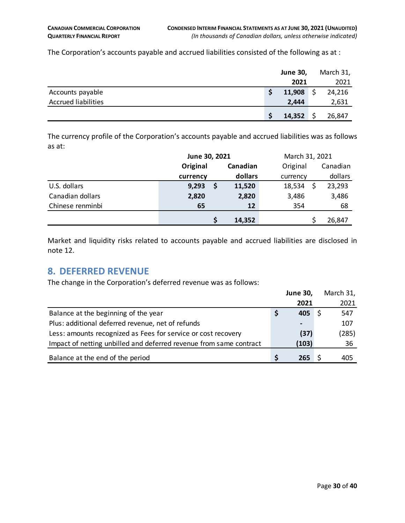The Corporation's accounts payable and accrued liabilities consisted of the following as at :

|                            | <b>June 30,</b> | March 31, |
|----------------------------|-----------------|-----------|
|                            | 2021            | 2021      |
| Accounts payable           | 11,908          | 24,216    |
| <b>Accrued liabilities</b> | 2,444           | 2,631     |
|                            | 14,352          | 26,847    |

The currency profile of the Corporation's accounts payable and accrued liabilities was as follows as at:

|                  | June 30, 2021 |  | March 31, 2021 |          |  |          |
|------------------|---------------|--|----------------|----------|--|----------|
|                  | Original      |  | Canadian       | Original |  | Canadian |
|                  | currency      |  | dollars        | currency |  | dollars  |
| U.S. dollars     | 9,293         |  | 11,520         | 18,534   |  | 23,293   |
| Canadian dollars | 2,820         |  | 2,820          | 3,486    |  | 3,486    |
| Chinese renminbi | 65            |  | 12             | 354      |  | 68       |
|                  |               |  | 14,352         |          |  | 26,847   |

Market and liquidity risks related to accounts payable and accrued liabilities are disclosed in note 12.

# <span id="page-29-0"></span>**8. DEFERRED REVENUE**

The change in the Corporation's deferred revenue was as follows:

|                                                                    | <b>June 30,</b> | March 31, |
|--------------------------------------------------------------------|-----------------|-----------|
|                                                                    | 2021            | 2021      |
| Balance at the beginning of the year                               | 405             | 547       |
| Plus: additional deferred revenue, net of refunds                  |                 | 107       |
| Less: amounts recognized as Fees for service or cost recovery      | (37)            | (285)     |
| Impact of netting unbilled and deferred revenue from same contract | (103)           | 36        |
| Balance at the end of the period                                   | 265             | 405       |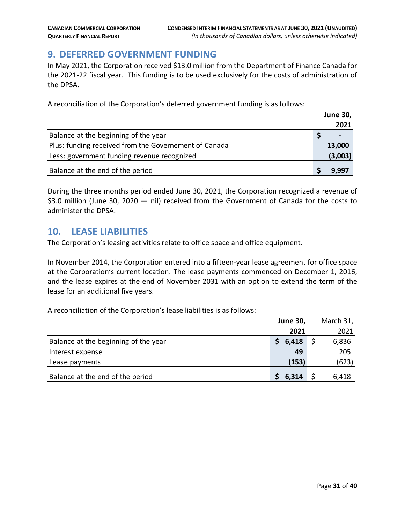# <span id="page-30-0"></span>**9. DEFERRED GOVERNMENT FUNDING**

In May 2021, the Corporation received \$13.0 million from the Department of Finance Canada for the 2021-22 fiscal year. This funding is to be used exclusively for the costs of administration of the DPSA.

A reconciliation of the Corporation's deferred government funding is as follows:

|                                                       | <b>June 30,</b> |
|-------------------------------------------------------|-----------------|
|                                                       | 2021            |
| Balance at the beginning of the year                  | $\blacksquare$  |
| Plus: funding received from the Governement of Canada | 13,000          |
| Less: government funding revenue recognized           | (3,003)         |
| Balance at the end of the period                      | 9.997           |

During the three months period ended June 30, 2021, the Corporation recognized a revenue of \$3.0 million (June 30, 2020 — nil) received from the Government of Canada for the costs to administer the DPSA.

# <span id="page-30-1"></span>**10. LEASE LIABILITIES**

The Corporation's leasing activities relate to office space and office equipment.

In November 2014, the Corporation entered into a fifteen-year lease agreement for office space at the Corporation's current location. The lease payments commenced on December 1, 2016, and the lease expires at the end of November 2031 with an option to extend the term of the lease for an additional five years.

A reconciliation of the Corporation's lease liabilities is as follows:

|                                      |   | <b>June 30,</b> | March 31, |  |  |
|--------------------------------------|---|-----------------|-----------|--|--|
|                                      |   | 2021            | 2021      |  |  |
| Balance at the beginning of the year | S | 6,418           | 6,836     |  |  |
| Interest expense                     |   | 49              | 205       |  |  |
| Lease payments                       |   | (153)           | (623)     |  |  |
| Balance at the end of the period     |   | 6,314           | 6,418     |  |  |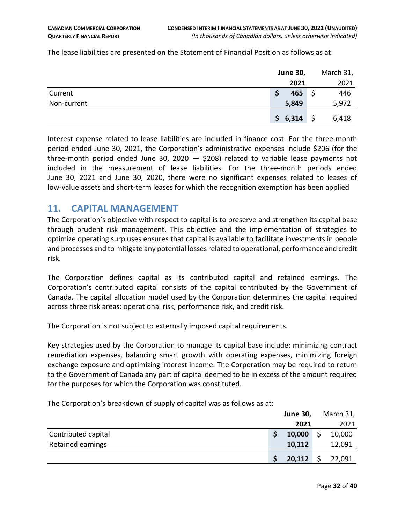The lease liabilities are presented on the Statement of Financial Position as follows as at:

|             |   | <b>June 30,</b> | March 31, |
|-------------|---|-----------------|-----------|
|             |   | 2021            | 2021      |
| Current     | S | 465             | 446       |
| Non-current |   | 5,849           | 5,972     |
|             |   | \$6,314         | 6,418     |

Interest expense related to lease liabilities are included in finance cost. For the three-month period ended June 30, 2021, the Corporation's administrative expenses include \$206 (for the three-month period ended June 30, 2020  $-$  \$208) related to variable lease payments not included in the measurement of lease liabilities. For the three-month periods ended June 30, 2021 and June 30, 2020, there were no significant expenses related to leases of low-value assets and short-term leases for which the recognition exemption has been applied

#### <span id="page-31-0"></span>**11. CAPITAL MANAGEMENT**

The Corporation's objective with respect to capital is to preserve and strengthen its capital base through prudent risk management. This objective and the implementation of strategies to optimize operating surpluses ensures that capital is available to facilitate investments in people and processes and to mitigate any potential losses related to operational, performance and credit risk.

The Corporation defines capital as its contributed capital and retained earnings. The Corporation's contributed capital consists of the capital contributed by the Government of Canada. The capital allocation model used by the Corporation determines the capital required across three risk areas: operational risk, performance risk, and credit risk.

The Corporation is not subject to externally imposed capital requirements.

Key strategies used by the Corporation to manage its capital base include: minimizing contract remediation expenses, balancing smart growth with operating expenses, minimizing foreign exchange exposure and optimizing interest income. The Corporation may be required to return to the Government of Canada any part of capital deemed to be in excess of the amount required for the purposes for which the Corporation was constituted.

The Corporation's breakdown of supply of capital was as follows as at:

|                     | <b>June 30,</b> | March 31, |
|---------------------|-----------------|-----------|
|                     | 2021            | 2021      |
| Contributed capital | 10,000          | 10,000    |
| Retained earnings   | 10,112          | 12,091    |
|                     | 20,112          | 22,091    |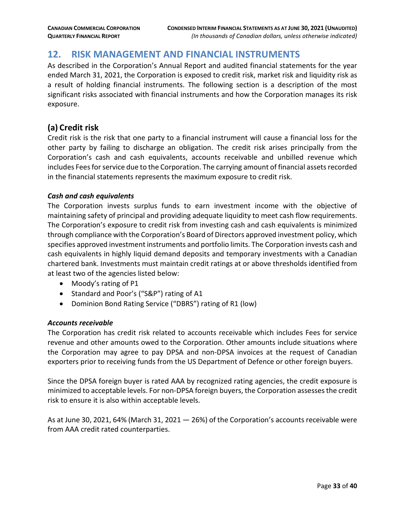# <span id="page-32-0"></span>**12. RISK MANAGEMENT AND FINANCIAL INSTRUMENTS**

As described in the Corporation's Annual Report and audited financial statements for the year ended March 31, 2021, the Corporation is exposed to credit risk, market risk and liquidity risk as a result of holding financial instruments. The following section is a description of the most significant risks associated with financial instruments and how the Corporation manages its risk exposure.

### **(a) Credit risk**

Credit risk is the risk that one party to a financial instrument will cause a financial loss for the other party by failing to discharge an obligation. The credit risk arises principally from the Corporation's cash and cash equivalents, accounts receivable and unbilled revenue which includes Fees for service due to the Corporation. The carrying amount of financial assets recorded in the financial statements represents the maximum exposure to credit risk.

#### *Cash and cash equivalents*

The Corporation invests surplus funds to earn investment income with the objective of maintaining safety of principal and providing adequate liquidity to meet cash flow requirements. The Corporation's exposure to credit risk from investing cash and cash equivalents is minimized through compliance with the Corporation's Board of Directors approved investment policy, which specifies approved investment instruments and portfolio limits. The Corporation invests cash and cash equivalents in highly liquid demand deposits and temporary investments with a Canadian chartered bank. Investments must maintain credit ratings at or above thresholds identified from at least two of the agencies listed below:

- Moody's rating of P1
- Standard and Poor's ("S&P") rating of A1
- Dominion Bond Rating Service ("DBRS") rating of R1 (low)

#### *Accounts receivable*

The Corporation has credit risk related to accounts receivable which includes Fees for service revenue and other amounts owed to the Corporation. Other amounts include situations where the Corporation may agree to pay DPSA and non-DPSA invoices at the request of Canadian exporters prior to receiving funds from the US Department of Defence or other foreign buyers.

Since the DPSA foreign buyer is rated AAA by recognized rating agencies, the credit exposure is minimized to acceptable levels. For non-DPSA foreign buyers, the Corporation assesses the credit risk to ensure it is also within acceptable levels.

As at June 30, 2021, 64% (March 31, 2021  $-$  26%) of the Corporation's accounts receivable were from AAA credit rated counterparties.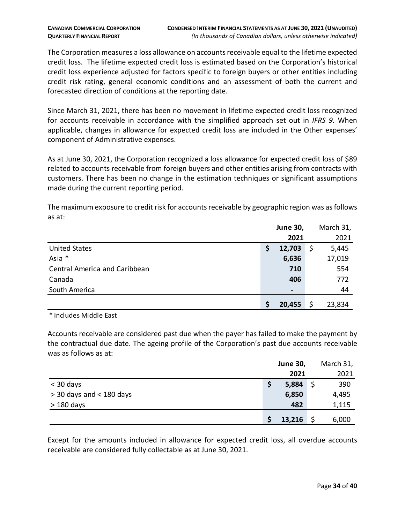The Corporation measures a loss allowance on accounts receivable equal to the lifetime expected credit loss. The lifetime expected credit loss is estimated based on the Corporation's historical credit loss experience adjusted for factors specific to foreign buyers or other entities including credit risk rating, general economic conditions and an assessment of both the current and forecasted direction of conditions at the reporting date.

Since March 31, 2021, there has been no movement in lifetime expected credit loss recognized for accounts receivable in accordance with the simplified approach set out in *IFRS 9.* When applicable, changes in allowance for expected credit loss are included in the Other expenses' component of Administrative expenses.

As at June 30, 2021, the Corporation recognized a loss allowance for expected credit loss of \$89 related to accounts receivable from foreign buyers and other entities arising from contracts with customers. There has been no change in the estimation techniques or significant assumptions made during the current reporting period.

The maximum exposure to credit risk for accounts receivable by geographic region was as follows as at:

|                               | <b>June 30,</b>              |     | March 31, |
|-------------------------------|------------------------------|-----|-----------|
|                               | 2021                         |     | 2021      |
| <b>United States</b>          | \$<br>12,703                 | \$, | 5,445     |
| Asia *                        | 6,636                        |     | 17,019    |
| Central America and Caribbean | 710                          |     | 554       |
| Canada                        | 406                          |     | 772       |
| South America                 | $\qquad \qquad \blacksquare$ |     | 44        |
|                               | 20,455                       | \$  | 23,834    |

\* Includes Middle East

Accounts receivable are considered past due when the payer has failed to make the payment by the contractual due date. The ageing profile of the Corporation's past due accounts receivable was as follows as at:

|                            | <b>June 30,</b> | March 31, |  |
|----------------------------|-----------------|-----------|--|
|                            | 2021            | 2021      |  |
| $<$ 30 days                | 5,884           | 390       |  |
| $>$ 30 days and < 180 days | 6,850           | 4,495     |  |
| $>180$ days                | 482             | 1,115     |  |
|                            | 13,216          | 6,000     |  |

Except for the amounts included in allowance for expected credit loss, all overdue accounts receivable are considered fully collectable as at June 30, 2021.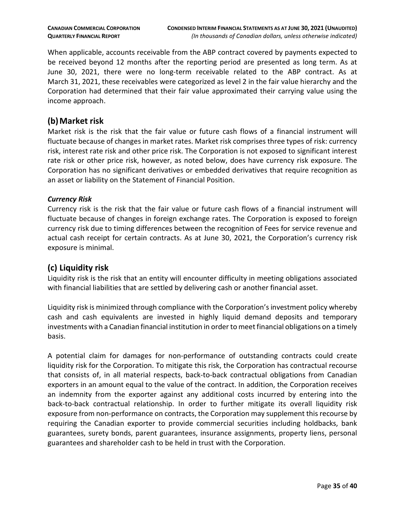When applicable, accounts receivable from the ABP contract covered by payments expected to be received beyond 12 months after the reporting period are presented as long term. As at June 30, 2021, there were no long-term receivable related to the ABP contract. As at March 31, 2021, these receivables were categorized as level 2 in the fair value hierarchy and the Corporation had determined that their fair value approximated their carrying value using the income approach.

#### **(b)Market risk**

Market risk is the risk that the fair value or future cash flows of a financial instrument will fluctuate because of changes in market rates. Market risk comprises three types of risk: currency risk, interest rate risk and other price risk. The Corporation is not exposed to significant interest rate risk or other price risk, however, as noted below, does have currency risk exposure. The Corporation has no significant derivatives or embedded derivatives that require recognition as an asset or liability on the Statement of Financial Position.

#### *Currency Risk*

Currency risk is the risk that the fair value or future cash flows of a financial instrument will fluctuate because of changes in foreign exchange rates. The Corporation is exposed to foreign currency risk due to timing differences between the recognition of Fees for service revenue and actual cash receipt for certain contracts. As at June 30, 2021, the Corporation's currency risk exposure is minimal.

# **(c) Liquidity risk**

Liquidity risk is the risk that an entity will encounter difficulty in meeting obligations associated with financial liabilities that are settled by delivering cash or another financial asset.

Liquidity risk is minimized through compliance with the Corporation's investment policy whereby cash and cash equivalents are invested in highly liquid demand deposits and temporary investments with a Canadian financial institution in order to meet financial obligations on a timely basis.

A potential claim for damages for non-performance of outstanding contracts could create liquidity risk for the Corporation. To mitigate this risk, the Corporation has contractual recourse that consists of, in all material respects, back-to-back contractual obligations from Canadian exporters in an amount equal to the value of the contract. In addition, the Corporation receives an indemnity from the exporter against any additional costs incurred by entering into the back-to-back contractual relationship. In order to further mitigate its overall liquidity risk exposure from non-performance on contracts, the Corporation may supplement this recourse by requiring the Canadian exporter to provide commercial securities including holdbacks, bank guarantees, surety bonds, parent guarantees, insurance assignments, property liens, personal guarantees and shareholder cash to be held in trust with the Corporation.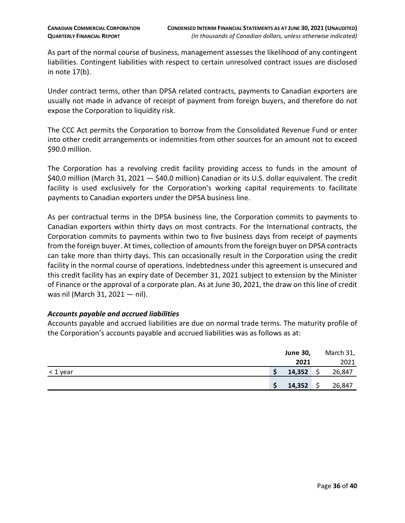As part of the normal course of business, management assesses the likelihood of any contingent liabilities. Contingent liabilities with respect to certain unresolved contract issues are disclosed in note 17(b).

Under contract terms, other than DPSA related contracts, payments to Canadian exporters are usually not made in advance of receipt of payment from foreign buyers, and therefore do not expose the Corporation to liquidity risk.

The CCC Act permits the Corporation to borrow from the Consolidated Revenue Fund or enter into other credit arrangements or indemnities from other sources for an amount not to exceed \$90.0 million.

The Corporation has a revolving credit facility providing access to funds in the amount of \$40.0 million (March 31, 2021 – \$40.0 million) Canadian or its U.S. dollar equivalent. The credit facility is used exclusively for the Corporation's working capital requirements to facilitate payments to Canadian exporters under the DPSA business line.

As per contractual terms in the DPSA business line, the Corporation commits to payments to Canadian exporters within thirty days on most contracts. For the International contracts, the Corporation commits to payments within two to five business days from receipt of payments from the foreign buyer. At times, collection of amounts from the foreign buyer on DPSA contracts can take more than thirty days. This can occasionally result in the Corporation using the credit facility in the normal course of operations. Indebtedness under this agreement is unsecured and this credit facility has an expiry date of December 31, 2021 subject to extension by the Minister of Finance or the approval of a corporate plan. As at June 30, 2021, the draw on this line of credit was nil (March 31, 2021 — nil).

#### *Accounts payable and accrued liabilities*

Accounts payable and accrued liabilities are due on normal trade terms. The maturity profile of the Corporation's accounts payable and accrued liabilities was as follows as at:

|            |        | <b>June 30,</b> |        |  |
|------------|--------|-----------------|--------|--|
|            | 2021   |                 | 2021   |  |
| $<$ 1 year | 14,352 |                 | 26,847 |  |
|            | 14,352 |                 | 26,847 |  |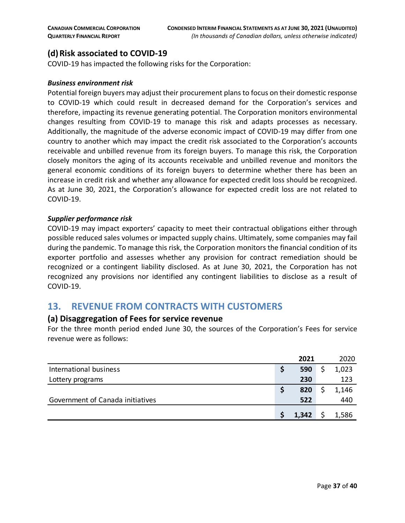# **(d)Risk associated to COVID-19**

COVID-19 has impacted the following risks for the Corporation:

#### *Business environment risk*

Potential foreign buyers may adjust their procurement plans to focus on their domestic response to COVID-19 which could result in decreased demand for the Corporation's services and therefore, impacting its revenue generating potential. The Corporation monitors environmental changes resulting from COVID-19 to manage this risk and adapts processes as necessary. Additionally, the magnitude of the adverse economic impact of COVID-19 may differ from one country to another which may impact the credit risk associated to the Corporation's accounts receivable and unbilled revenue from its foreign buyers. To manage this risk, the Corporation closely monitors the aging of its accounts receivable and unbilled revenue and monitors the general economic conditions of its foreign buyers to determine whether there has been an increase in credit risk and whether any allowance for expected credit loss should be recognized. As at June 30, 2021, the Corporation's allowance for expected credit loss are not related to COVID-19.

#### *Supplier performance risk*

COVID-19 may impact exporters' capacity to meet their contractual obligations either through possible reduced sales volumes or impacted supply chains. Ultimately, some companies may fail during the pandemic. To manage this risk, the Corporation monitors the financial condition of its exporter portfolio and assesses whether any provision for contract remediation should be recognized or a contingent liability disclosed. As at June 30, 2021, the Corporation has not recognized any provisions nor identified any contingent liabilities to disclose as a result of COVID-19.

# <span id="page-36-0"></span>**13. REVENUE FROM CONTRACTS WITH CUSTOMERS**

#### **(a) Disaggregation of Fees for service revenue**

For the three month period ended June 30, the sources of the Corporation's Fees for service revenue were as follows:

|                                  |   | 2021  | 2020  |
|----------------------------------|---|-------|-------|
| International business           | S | 590   | 1,023 |
| Lottery programs                 |   | 230   | 123   |
|                                  | S | 820   | 1,146 |
| Government of Canada initiatives |   | 522   | 440   |
|                                  |   | 1,342 | 1,586 |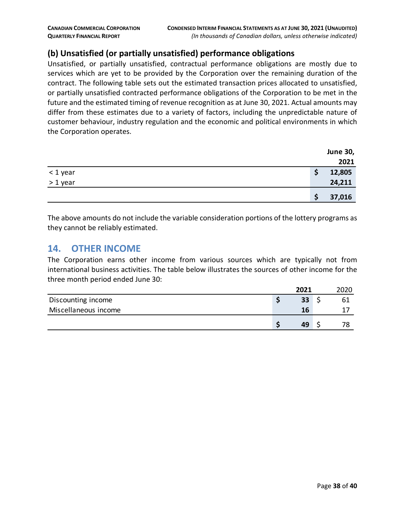# **(b) Unsatisfied (or partially unsatisfied) performance obligations**

Unsatisfied, or partially unsatisfied, contractual performance obligations are mostly due to services which are yet to be provided by the Corporation over the remaining duration of the contract. The following table sets out the estimated transaction prices allocated to unsatisfied, or partially unsatisfied contracted performance obligations of the Corporation to be met in the future and the estimated timing of revenue recognition as at June 30, 2021. Actual amounts may differ from these estimates due to a variety of factors, including the unpredictable nature of customer behaviour, industry regulation and the economic and political environments in which the Corporation operates.

|          | <b>June 30,</b> |
|----------|-----------------|
|          | 2021            |
| < 1 year | 12,805<br>\$    |
| > 1 year | 24,211          |
|          | 37,016          |

The above amounts do not include the variable consideration portions of the lottery programs as they cannot be reliably estimated.

#### <span id="page-37-0"></span>**14. OTHER INCOME**

The Corporation earns other income from various sources which are typically not from international business activities. The table below illustrates the sources of other income for the three month period ended June 30:

|                      | 2021 | 2020 |
|----------------------|------|------|
| Discounting income   | 33   |      |
| Miscellaneous income | 16   |      |
|                      | 49   | 70   |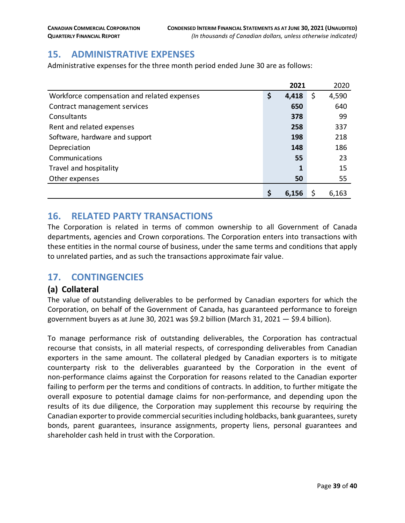# <span id="page-38-0"></span>**15. ADMINISTRATIVE EXPENSES**

Administrative expenses for the three month period ended June 30 are as follows:

|                                             | 2021        | 2020        |
|---------------------------------------------|-------------|-------------|
| Workforce compensation and related expenses | \$<br>4,418 | \$<br>4,590 |
| Contract management services                | 650         | 640         |
| Consultants                                 | 378         | 99          |
| Rent and related expenses                   | 258         | 337         |
| Software, hardware and support              | 198         | 218         |
| Depreciation                                | 148         | 186         |
| Communications                              | 55          | 23          |
| Travel and hospitality                      | 1           | 15          |
| Other expenses                              | 50          | 55          |
|                                             | \$<br>6,156 | 6,163       |

# <span id="page-38-1"></span>**16. RELATED PARTY TRANSACTIONS**

The Corporation is related in terms of common ownership to all Government of Canada departments, agencies and Crown corporations. The Corporation enters into transactions with these entities in the normal course of business, under the same terms and conditions that apply to unrelated parties, and as such the transactions approximate fair value.

# <span id="page-38-2"></span>**17. CONTINGENCIES**

#### **(a) Collateral**

The value of outstanding deliverables to be performed by Canadian exporters for which the Corporation, on behalf of the Government of Canada, has guaranteed performance to foreign government buyers as at June 30, 2021 was \$9.2 billion (March 31, 2021 — \$9.4 billion).

To manage performance risk of outstanding deliverables, the Corporation has contractual recourse that consists, in all material respects, of corresponding deliverables from Canadian exporters in the same amount. The collateral pledged by Canadian exporters is to mitigate counterparty risk to the deliverables guaranteed by the Corporation in the event of non-performance claims against the Corporation for reasons related to the Canadian exporter failing to perform per the terms and conditions of contracts. In addition, to further mitigate the overall exposure to potential damage claims for non-performance, and depending upon the results of its due diligence, the Corporation may supplement this recourse by requiring the Canadian exporter to provide commercial securities including holdbacks, bank guarantees, surety bonds, parent guarantees, insurance assignments, property liens, personal guarantees and shareholder cash held in trust with the Corporation.